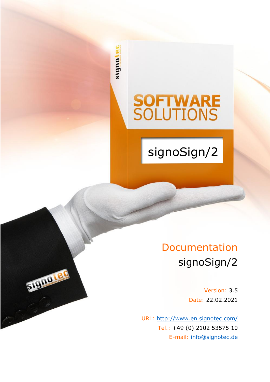signote

STUDIO LEO

# **SOFTWARE**<br>SOLUTIONS

signoSign/2

# Documentation signoSign/2

Version: 3.5 Date: 22.02.2021

URL: <http://www.en.signotec.com/> Tel.: +49 (0) 2102 53575 10 E-mail: [info@signotec.de](mailto:info@signotec.de?subject=signotec%20GmbH)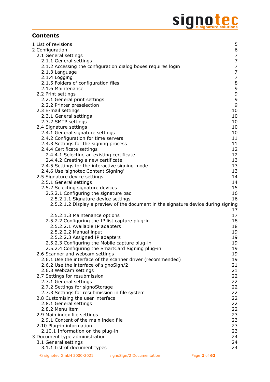# Signote C

# **Contents**

| 1 List of revisions                                                                | 5              |
|------------------------------------------------------------------------------------|----------------|
| 2 Configuration                                                                    | 6              |
| 2.1 General settings                                                               | $\overline{7}$ |
| 2.1.1 General settings                                                             | $\overline{7}$ |
| 2.1.2 Accessing the configuration dialog boxes requires login                      | $\overline{7}$ |
| 2.1.3 Language                                                                     | $\overline{7}$ |
| 2.1.4 Logging                                                                      | $\overline{7}$ |
| 2.1.5 Folders of configuration files                                               | 8              |
| 2.1.6 Maintenance                                                                  | 9              |
| 2.2 Print settings                                                                 | 9              |
| 2.2.1 General print settings                                                       | $\mathsf 9$    |
| 2.2.2 Printer preselection                                                         | 9<br>10        |
| 2.3 E-mail settings<br>2.3.1 General settings                                      | 10             |
| 2.3.2 SMTP settings                                                                | 10             |
| 2.4 Signature settings                                                             | 10             |
| 2.4.1 General signature settings                                                   | 10             |
| 2.4.2 Configuration for time servers                                               | 11             |
| 2.4.3 Settings for the signing process                                             | 11             |
| 2.4.4 Certificate settings                                                         | 12             |
| 2.4.4.1 Selecting an existing certificate                                          | 12             |
| 2.4.4.2 Creating a new certificate                                                 | 13             |
| 2.4.5 Settings for the interactive signing mode                                    | 13             |
| 2.4.6 Use 'signotec Content Signing'                                               | 13             |
| 2.5 Signature device settings                                                      | 14             |
| 2.5.1 General settings                                                             | 14             |
| 2.5.2 Selecting signature devices                                                  | 15             |
| 2.5.2.1 Configuring the signature pad                                              | 16             |
| 2.5.2.1.1 Signature device settings                                                | 16             |
|                                                                                    |                |
| 2.5.2.1.2 Display a preview of the document in the signature device during signing |                |
|                                                                                    | 17             |
| 2.5.2.1.3 Maintenance options                                                      | 17             |
| 2.5.2.2 Configuring the IP list capture plug-in                                    | 18             |
| 2.5.2.2.1 Available IP adapters                                                    | 18             |
| 2.5.2.2.2 Manual input                                                             | 19             |
| 2.5.2.2.3 Assigned IP adapters                                                     | 19             |
| 2.5.2.3 Configuring the Mobile capture plug-in                                     | 19             |
| 2.5.2.4 Configuring the SmartCard Signing plug-in                                  | 19             |
| 2.6 Scanner and webcam settings                                                    | 19             |
| 2.6.1 Use the interface of the scanner driver (recommended)                        | 19             |
| 2.6.2 Use the interface of signoSign/2                                             | 21             |
| 2.6.3 Webcam settings                                                              | 21             |
| 2.7 Settings for resubmission                                                      | 22             |
| 2.7.1 General settings                                                             | 22             |
| 2.7.2 Settings for signoStorage                                                    | 22             |
| 2.7.3 Settings for resubmission in file system                                     | 22             |
| 2.8 Customising the user interface                                                 | 22             |
| 2.8.1 General settings                                                             | 22             |
| 2.8.2 Menu item                                                                    | 22             |
| 2.9 Main index file settings                                                       | 23             |
| 2.9.1 Content of the main index file                                               | 23             |
| 2.10 Plug-in information<br>2.10.1 Information on the plug-in                      | 23<br>23       |
| 3 Document type administration                                                     | 24             |
| 3.1 General settings                                                               | 24             |
| 3.1.1 List of document types                                                       | 24             |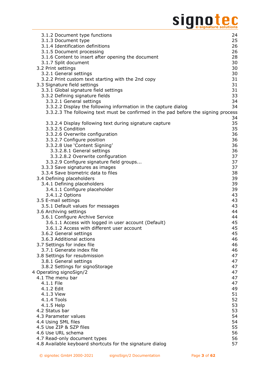# Signote C

| 3.1.2 Document type functions                                                      | 24       |
|------------------------------------------------------------------------------------|----------|
| 3.1.3 Document type                                                                | 25       |
| 3.1.4 Identification definitions                                                   | 26       |
| 3.1.5 Document processing                                                          | 26       |
| 3.1.6 Content to insert after opening the document                                 | 28       |
| 3.1.7 Split document                                                               | 30       |
| 3.2 Print settings                                                                 | 30       |
| 3.2.1 General settings                                                             | 30       |
| 3.2.2 Print custom text starting with the 2nd copy                                 | 31       |
| 3.3 Signature field settings                                                       | 31       |
| 3.3.1 Global signature field settings                                              | 31       |
| 3.3.2 Defining signature fields                                                    | 33       |
| 3.3.2.1 General settings                                                           | 34       |
| 3.3.2.2 Display the following information in the capture dialog                    | 34       |
| 3.3.2.3 The following text must be confirmed in the pad before the signing process |          |
|                                                                                    | 34<br>35 |
| 3.3.2.4 Display following text during signature capture<br>3.3.2.5 Condition       | 35       |
| 3.3.2.6 Overwrite configuration                                                    | 36       |
| 3.3.2.7 Configure position                                                         | 36       |
| 3.3.2.8 Use 'Content Signing'                                                      | 36       |
| 3.3.2.8.1 General settings                                                         | 36       |
| 3.3.2.8.2 Overwrite configuration                                                  | 37       |
| 3.3.2.9 Configure signature field groups                                           | 37       |
| 3.3.3 Save signatures as images                                                    | 37       |
| 3.3.4 Save biometric data to files                                                 | 38       |
| 3.4 Defining placeholders                                                          | 39       |
| 3.4.1 Defining placeholders                                                        | 39       |
| 3.4.1.1 Configure placeholder                                                      | 39       |
| 3.4.1.2 Options                                                                    | 43       |
| 3.5 E-mail settings                                                                | 43       |
| 3.5.1 Default values for messages                                                  | 43       |
| 3.6 Archiving settings                                                             | 44       |
| 3.6.1 Configure Archive Service                                                    | 44       |
| 3.6.1.1 Access with logged in user account (Default)                               | 45       |
| 3.6.1.2 Access with different user account                                         | 45       |
| 3.6.2 General settings                                                             | 45       |
| 3.6.3 Additional actions                                                           | 46       |
| 3.7 Settings for index file                                                        | 46       |
| 3.7.1 Generate index file                                                          | 46       |
| 3.8 Settings for resubmission                                                      | 47       |
| 3.8.1 General settings                                                             | 47       |
| 3.8.2 Settings for signoStorage                                                    | 47       |
| 4 Operating signoSign/2                                                            | 47       |
| 4.1 The menu bar                                                                   | 47       |
| 4.1.1 File                                                                         | 47       |
| 4.1.2 Edit                                                                         | 49       |
| 4.1.3 View                                                                         | 51       |
| 4.1.4 Tools                                                                        | 52       |
| 4.1.5 Help                                                                         | 53       |
| 4.2 Status bar                                                                     | 53       |
| 4.3 Parameter values                                                               | 54       |
| 4.4 Using SML files<br>4.5 Use ZIP & SZP files                                     | 54<br>55 |
| 4.6 Use URL schema                                                                 | 56       |
| 4.7 Read-only document types                                                       | 56       |
| 4.8 Available keyboard shortcuts for the signature dialog                          | 57       |
|                                                                                    |          |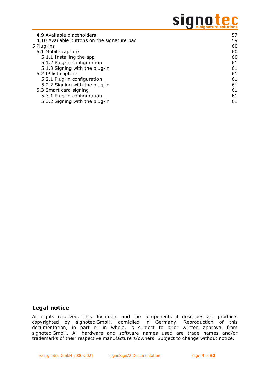# signotec

| 4.9 Available placeholders                  | 57 |
|---------------------------------------------|----|
| 4.10 Available buttons on the signature pad | 59 |
| 5 Plug-ins                                  | 60 |
| 5.1 Mobile capture                          | 60 |
| 5.1.1 Installing the app                    | 60 |
| 5.1.2 Plug-in configuration                 | 61 |
| 5.1.3 Signing with the plug-in              | 61 |
| 5.2 IP list capture                         | 61 |
| 5.2.1 Plug-in configuration                 | 61 |
| 5.2.2 Signing with the plug-in              | 61 |
| 5.3 Smart card signing                      | 61 |
| 5.3.1 Plug-in configuration                 | 61 |
| 5.3.2 Signing with the plug-in              | 61 |

# **Legal notice**

All rights reserved. This document and the components it describes are products copyrighted by signotec GmbH, domiciled in Germany. Reproduction of this documentation, in part or in whole, is subject to prior written approval from signotec GmbH. All hardware and software names used are trade names and/or trademarks of their respective manufacturers/owners. Subject to change without notice.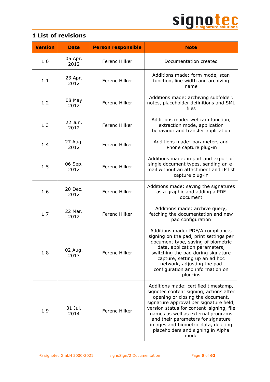

<span id="page-4-0"></span>

|  | <b>1 List of revisions</b> |  |
|--|----------------------------|--|
|  |                            |  |

| <b>Version</b> | <b>Date</b>     | <b>Person responsible</b> | <b>Note</b>                                                                                                                                                                                                                                                                                                                                                                |
|----------------|-----------------|---------------------------|----------------------------------------------------------------------------------------------------------------------------------------------------------------------------------------------------------------------------------------------------------------------------------------------------------------------------------------------------------------------------|
| 1.0            | 05 Apr.<br>2012 | Ferenc Hilker             | Documentation created                                                                                                                                                                                                                                                                                                                                                      |
| 1.1            | 23 Apr.<br>2012 | Ferenc Hilker             | Additions made: form mode, scan<br>function, line width and archiving<br>name                                                                                                                                                                                                                                                                                              |
| 1.2            | 08 May<br>2012  | Ferenc Hilker             | Additions made: archiving subfolder,<br>notes, placeholder definitions and SML<br>files                                                                                                                                                                                                                                                                                    |
| 1.3            | 22 Jun.<br>2012 | Ferenc Hilker             | Additions made: webcam function,<br>extraction mode, application<br>behaviour and transfer application                                                                                                                                                                                                                                                                     |
| 1.4            | 27 Aug.<br>2012 | Ferenc Hilker             | Additions made: parameters and<br>iPhone capture plug-in                                                                                                                                                                                                                                                                                                                   |
| 1.5            | 06 Sep.<br>2012 | Ferenc Hilker             | Additions made: import and export of<br>single document types, sending an e-<br>mail without an attachment and IP list<br>capture plug-in                                                                                                                                                                                                                                  |
| 1.6            | 20 Dec.<br>2012 | Ferenc Hilker             | Additions made: saving the signatures<br>as a graphic and adding a PDF<br>document                                                                                                                                                                                                                                                                                         |
| 1.7            | 22 Mar.<br>2012 | Ferenc Hilker             | Additions made: archive query,<br>fetching the documentation and new<br>pad configuration                                                                                                                                                                                                                                                                                  |
| 1.8            | 02 Aug.<br>2013 | Ferenc Hilker             | Additions made: PDF/A compliance,<br>signing on the pad, print settings per<br>document type, saving of biometric<br>data, application parameters,<br>switching the pad during signature<br>capture, setting up an ad hoc<br>network, adjusting the pad<br>configuration and information on<br>plug-ins                                                                    |
| 1.9            | 31 Jul.<br>2014 | <b>Ferenc Hilker</b>      | Additions made: certified timestamp,<br>signotec content signing, actions after<br>opening or closing the document,<br>signature approval per signature field,<br>version status for content signing, file<br>names as well as external programs<br>and their parameters for signature<br>images and biometric data, deleting<br>placeholders and signing in Alpha<br>mode |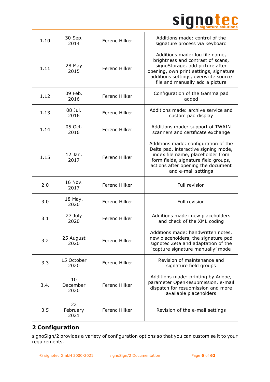

| 1.10 | 30 Sep.<br>2014        | Ferenc Hilker | Additions made: control of the<br>signature process via keyboard                                                                                                                                                            |
|------|------------------------|---------------|-----------------------------------------------------------------------------------------------------------------------------------------------------------------------------------------------------------------------------|
| 1.11 | 28 May<br>2015         | Ferenc Hilker | Additions made: log file name,<br>brightness and contrast of scans,<br>signoStorage, add picture after<br>opening, own print settings, signature<br>additions settings, overwrite source<br>file and manually add a picture |
| 1.12 | 09 Feb.<br>2016        | Ferenc Hilker | Configuration of the Gamma pad<br>added                                                                                                                                                                                     |
| 1.13 | 08 Jul.<br>2016        | Ferenc Hilker | Additions made: archive service and<br>custom pad display                                                                                                                                                                   |
| 1.14 | 05 Oct.<br>2016        | Ferenc Hilker | Additions made: support of TWAIN<br>scanners and certificate exchange                                                                                                                                                       |
| 1.15 | 12 Jan.<br>2017        | Ferenc Hilker | Additions made: configuration of the<br>Delta pad, interactive signing mode,<br>index file name, placeholder from<br>form fields, signature field groups,<br>actions after opening the document<br>and e-mail settings      |
| 2.0  | 16 Nov.<br>2017        | Ferenc Hilker | Full revision                                                                                                                                                                                                               |
| 3.0  | 18 May.<br>2020        | Ferenc Hilker | Full revision                                                                                                                                                                                                               |
| 3.1  | 27 July<br>2020        | Ferenc Hilker | Additions made: new placeholders<br>and check of the XML coding                                                                                                                                                             |
| 3.2  | 25 August<br>2020      | Ferenc Hilker | Additions made: handwritten notes,<br>new placeholders, the signature pad<br>signotec Zeta and adaptation of the<br>'capture signature manually' mode                                                                       |
| 3.3  | 15 October<br>2020     | Ferenc Hilker | Revision of maintenance and<br>signature field groups                                                                                                                                                                       |
| 3.4. | 10<br>December<br>2020 | Ferenc Hilker | Additions made: printing by Adobe,<br>parameter OpenResubmission, e-mail<br>dispatch for resubmission and more<br>available placeholders                                                                                    |
| 3.5  | 22<br>February<br>2021 | Ferenc Hilker | Revision of the e-mail settings                                                                                                                                                                                             |

# <span id="page-5-0"></span>**2 Configuration**

signoSign/2 provides a variety of configuration options so that you can customise it to your requirements.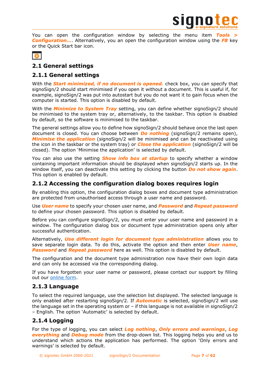

You can open the configuration window by selecting the menu item *Tools > Configuration…*. Alternatively, you an open the configuration window using the *F8* key or the Quick Start bar icon.



# <span id="page-6-0"></span>**2.1 General settings**

# <span id="page-6-1"></span>**2.1.1 General settings**

With the *Start minimized, if no document is opened.* check box, you can specify that signoSign/2 should start minimised if you open it without a document. This is useful if, for example, signoSign/2 was put into autostart but you do not want it to gain focus when the computer is started. This option is disabled by default.

With the *Minimize to System Tray* setting, you can define whether signoSign/2 should be minimised to the system tray or, alternatively, to the taskbar. This option is disabled by default, so the software is minimised to the taskbar.

The general settings allow you to define how signoSign/2 should behave once the last open document is closed. You can choose between *Do nothing* (signoSign/2 remains open), *Minimise the application* (signoSign/2 will be minimised and can be reactivated using the icon in the taskbar or the system tray) or *Close the application* (signoSign/2 will be closed). The option 'Minimise the application' is selected by default.

You can also use the setting *Show info box at startup* to specify whether a window containing important information should be displayed when signoSign/2 starts up. In the window itself, you can deactivate this setting by clicking the button *Do not show again*. This option is enabled by default.

# <span id="page-6-2"></span>**2.1.2 Accessing the configuration dialog boxes requires login**

By enabling this option, the configuration dialog boxes and document type administration are protected from unauthorised access through a user name and password.

Use *User name* to specify your chosen user name, and *Password* and *Repeat password* to define your chosen password. This option is disabled by default.

Before you can configure signoSign/2, you must enter your user name and password in a window. The configuration dialog box or document type administration opens only after successful authentication.

Alternatively, *Use different login for document type administration* allows you to save separate login data. To do this, activate the option and then enter *User name*, **Password** and **Repeat password** here as well. This option is disabled by default.

The configuration and the document type administration now have their own login data and can only be accessed via the corresponding dialog.

If you have forgotten your user name or password, please contact our support by filling out our [online form.](https://en.signotec.com/supportform)

# <span id="page-6-3"></span>**2.1.3 Language**

To select the required language, use the selection list displayed. The selected language is only enabled after restarting signoSign/2. If *Automatic* is selected, signoSign/2 will use the language set in the operating system or – if this language is not available in signoSign/2 – English. The option 'Automatic' is selected by default.

# <span id="page-6-4"></span>**2.1.4 Logging**

For the type of logging, you can select *Log nothing*, *Only errors and warnings*, *Log everything* and *Debug mode* from the drop-down list. This logging helps you and us to understand which actions the application has performed. The option 'Only errors and warnings' is selected by default.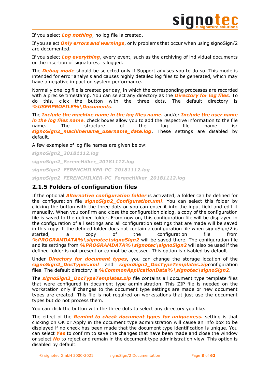

If you select *Log nothing*, no log file is created.

If you select *Only errors and warnings*, only problems that occur when using signoSign/2 are documented.

If you select *Log everything*, every event, such as the archiving of individual documents or the insertion of signatures, is logged.

The *Debug mode* should be selected only if Support advises you to do so. This mode is intended for error analysis and causes highly detailed log files to be generated, which may have a negative impact on system performance.

Normally one log file is created per day, in which the corresponding processes are recorded with a precise timestamp. You can select any directory as the *Directory for log files*. To do this, click the button with the three dots. The default directory is *%USERPROFILE%\Documents*.

The *Include the machine name in the log files name.* and/or *Include the user name*  in the log files name. check boxes allow you to add the respective information to the file name. The structure of the log file name is: *signoSign2\_machinename\_username\_date.log*. These settings are disabled by default.

A few examples of log file names are given below:

*signoSign2\_20181112.log signoSign2\_FerencHilker\_20181112.log signoSign2\_FERENCHILKER-PC\_20181112.log signoSign2\_FERENCHILKER-PC\_FerencHilker\_20181112.log*

# <span id="page-7-0"></span>**2.1.5 Folders of configuration files**

If the optional *Alternative configuration folder* is activated, a folder can be defined for the configuration file *signoSign2\_Configuration.xml*. You can select this folder by clicking the button with the three dots or you can enter it into the input field and edit it manually. When you confirm and close the configuration dialog, a copy of the configuration file is saved to the defined folder. From now on, this configuration file will be displayed in the configuration of all settings and all configuration settings that are made will be saved in this copy. If the defined folder does not contain a configuration file when signoSign/2 is started, a copy of the configuration file from *%PROGRAMDATA%\signotec\signoSign2* will be saved there. The configuration file and its settings from **%PROGRAMDATA%\signotec\signoSign2** will also be used if the defined folder is not present or cannot be accessed. This option is disabled by default.

Under *Directory for document types*, you can change the storage location of the *signoSign2\_DocTypes.xml* and *signoSign2\_DocTypeTemplates.zip*configuration files. The default directory is **%CommonApplicationData%\signotec\signoSign2**.

The *signoSign2\_DocTypeTemplates.zip* file contains all document type template files that were configured in document type administration. This ZIP file is needed on the workstation only if changes to the document type settings are made or new document types are created. This file is not required on workstations that just use the document types but do not process them.

You can click the button with the three dots to select any directory you like.

The effect of the *Remind to check document types for uniqueness.* setting is that clicking on OK or Apply in the document type administration will cause an info box to be displayed if no check has been made that the document type identification is unique. You can select *Yes* to confirm to save the changes that have been made and close the window or select *No* to reject and remain in the document type administration view. This option is disabled by default.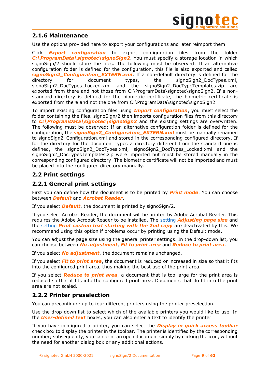

# <span id="page-8-0"></span>**2.1.6 Maintenance**

Use the options provided here to export your configurations and later reimport them.

Click *Export configuration* to export configuration files from the folder *C:\ProgramData\signotec\signoSign2*. You must specify a storage location in which signoSign/2 should store the files. The following must be observed: If an alternative configuration folder is defined for the configuration, this file is also exported and called *signoSign2\_Configuration\_EXTERN.xml*. If a non-default directory is defined for the directory for document types, the signoSign2\_DocTypes.xml, signoSign2\_DocTypes\_Locked.xml and the signoSign2\_DocTypeTemplates.zip are exported from there and not those from C:\ProgramData\signotec\signoSign2. If a nonstandard directory is defined for the biometric certificate, the biometric certificate is exported from there and not the one from C:\ProgramData\signotec\signoSign2.

To import existing configuration files using *Import configuration*, you must select the folder containing the files. signoSign/2 then imports configuration files from this directory to *C:\ProgramData\signotec\signoSign2* and the existing settings are overwritten. The following must be observed: If an alternative configuration folder is defined for the configuration, the *signoSign2\_Configuration\_EXTERN.xml* must be manually renamed to signoSign2 Configuration.xml and stored in the corresponding configured directory. If for the directory for the document types a directory different from the standard one is defined, the signoSign2\_DocTypes.xml, signoSign2\_DocTypes\_Locked.xml and the signoSign2\_DocTypesTemplates.zip were imported but must be stored manually in the corresponding configured directory. The biometric certificate will not be imported and must be placed into the configured directory manually.

# <span id="page-8-1"></span>**2.2 Print settings**

# <span id="page-8-2"></span>**2.2.1 General print settings**

First you can define how the document is to be printed by *Print mode*. You can choose between *Default* and *Acrobat Reader*.

If you select *Default*, the document is printed by signoSign/2.

If you select Acrobat Reader, the document will be printed by Adobe Acrobat Reader. This requires the Adobe Acrobat Reader to be installed. The [setting](#page-8-2) *Adjusting page size* and the [setting](#page-30-0) *Print custom text starting with the 2nd copy* are deactivated by this. We recommend using this option if problems occur by printing using the Default mode.

You can adjust the page size using the general printer settings. In the drop-down list, you can choose between *No adjustment*, *Fit to print area* and *Reduce to print area*.

If you select *No adjustment*, the document remains unchanged.

If you select *Fit to print area*, the document is reduced or increased in size so that it fits into the configured print area, thus making the best use of the print area.

If you select *Reduce to print area*, a document that is too large for the print area is reduced so that it fits into the configured print area. Documents that do fit into the print area are not scaled.

# <span id="page-8-3"></span>**2.2.2 Printer preselection**

You can preconfigure up to four different printers using the printer preselection.

Use the drop-down list to select which of the available printers you would like to use. In the *User-defined text* boxes, you can also enter a text to identify the printer.

If you have configured a printer, you can select the *Display in quick access toolbar* check box to display the printer in the toolbar. The printer is identified by the corresponding number; subsequently, you can print an open document simply by clicking the icon, without the need for another dialog box or any additional actions.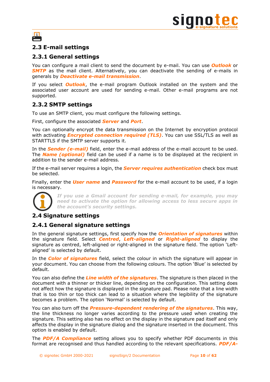

# 冎

# <span id="page-9-0"></span>**2.3 E-mail settings**

# <span id="page-9-1"></span>**2.3.1 General settings**

You can configure a mail client to send the document by e-mail. You can use *Outlook* or **SMTP** as the mail client. Alternatively, you can deactivate the sending of e-mails in generals by *Deactivate e-mail transmission*.

If you select *Outlook*, the e-mail program Outlook installed on the system and the associated user account are used for sending e-mail. Other e-mail programs are not supported.

# <span id="page-9-2"></span>**2.3.2 SMTP settings**

To use an SMTP client, you must configure the following settings.

First, configure the associated *Server* and *Port*.

You can optionally encrypt the data transmission on the Internet by encryption protocol with activating *Encrypted connection required (TLS)*. You can use SSL/TLS as well as STARTTLS if the SMTP server supports it.

In the *Sender (e-mail)* field, enter the e-mail address of the e-mail account to be used. The *Name (optional)* field can be used if a name is to be displayed at the recipient in addition to the sender e-mail address.

If the e-mail server requires a login, the *Server requires authentication* check box must be selected.

Finally, enter the *User name* and *Password* for the e-mail account to be used, if a login is necessary.



*If you use a Gmail account for sending e-mail, for example, you may need to activate the option for allowing access to less secure apps in the account's security settings.*

# <span id="page-9-3"></span>**2.4 Signature settings**

# <span id="page-9-4"></span>**2.4.1 General signature settings**

In the general signature settings, first specify how the *Orientation of signatures* within the signature field. Select *Centred*, *Left-aligned* or *Right-aligned* to display the signature as centred, left-aligned or right-aligned in the signature field. The option 'Leftaligned' is selected by default.

In the *Color of signatures* field, select the colour in which the signature will appear in your document. You can choose from the following colours. The option 'Blue' is selected by default.

You can also define the *Line width of the signatures*. The signature is then placed in the document with a thinner or thicker line, depending on the configuration. This setting does not affect how the signature is displayed in the signature pad. Please note that a line width that is too thin or too thick can lead to a situation where the legibility of the signature becomes a problem. The option 'Normal' is selected by default.

You can also turn off the *Pressure-dependent rendering of the signatures*. This way, the line thickness no longer varies according to the pressure used when creating the signature. This setting also has no effect on the display in the signature pad itself and only affects the display in the signature dialog and the signature inserted in the document. This option is enabled by default.

The *PDF/A Compliance* setting allows you to specify whether PDF documents in this format are recognised and thus handled according to the relevant specifications. *PDF/A-*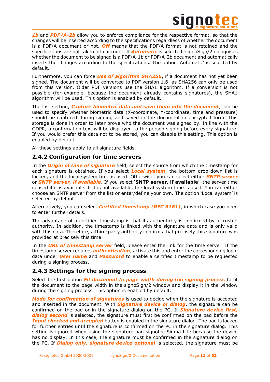

**1b** and **PDF/A-2b** allow you to enforce compliance for the respective format, so that the changes will be inserted according to the specifications regardless of whether the document is a PDF/A document or not. *Off* means that the PDF/A format is not retained and the specifications are not taken into account. If **Automatic** is selected, signoSign/2 recognises whether the document to be signed is a PDF/A-1b or PDF/A-2b document and automatically inserts the changes according to the specifications. The option 'Automatic' is selected by default.

Furthermore, you can force *Use of algorithm SHA256*, if a document has not yet been signed. The document will be converted to PDF version 1.6, as SHA256 can only be used from this version. Older PDF versions use the SHA1 algorithm. If a conversion is not possible (for example, because the document already contains signatures), the SHA1 algorithm will be used. This option is enabled by default.

The last setting, *Capture biometric data and save them into the document*, can be used to specify whether biometric data (X-coordinate, Y-coordinate, time and pressure) should be captured during signing and saved in the document in encrypted form. This storage is done in order to later prove who the document was signed by. In line with the GDPR, a confirmation text will be displayed to the person signing before every signature. If you would prefer this data not to be stored, you can disable this setting. This option is enabled by default.

All these settings apply to all signature fields.

## <span id="page-10-0"></span>**2.4.2 Configuration for time servers**

In the *Origin of time of signature* field, select the source from which the timestamp for each signature is obtained. If you select *Local system*, the bottom drop-down list is locked, and the local system time is used. Otherwise, you can select either *SNTP server* or *SNTP server, if available*. If you select '**SNTP server, if available**', the server time is used if it is available. If it is not available, the local system time is used. You can either choose an SNTP server from the list or enter/define your own. The option 'Local system' is selected by default.

Alternatively, you can select *Certified timestamp (RFC 3161)*, in which case you need to enter further details.

The advantage of a certified timestamp is that its authenticity is confirmed by a trusted authority. In addition, the timestamp is linked with the signature data and is only valid with this data. Therefore, a third-party authority confirms that precisely this signature was provided at precisely this time.

In the *URL of timestamp server* field, please enter the link for the time server. If the timestamp server requires *authentication*, activate this and enter the corresponding login data under *User name* and *Password* to enable a certified timestamp to be requested during a signing process.

# <span id="page-10-1"></span>**2.4.3 Settings for the signing process**

Select the first option *Fit document to page width during the signing process* to fit the document to the page width in the signoSign/2 window and display it in the window during the signing process. This option is enabled by default.

*Mode for confirmation of signatures* is used to decide when the signature is accepted and inserted in the document. With *Signature device or dialog*, the signature can be confirmed on the pad or in the signature dialog on the PC. If *Signature device first, dialog second* is selected, the signature must first be confirmed on the pad before the *Input checked and accepted* button is enabled in the signature dialog. The pad is locked for further entries until the signature is confirmed on the PC in the signature dialog. This setting is ignored when using the signature pad signotec Sigma Lite because the device has no display. In this case, the signature must be confirmed in the signature dialog on the PC. If *Dialog only, signature device optional* is selected, the signature must be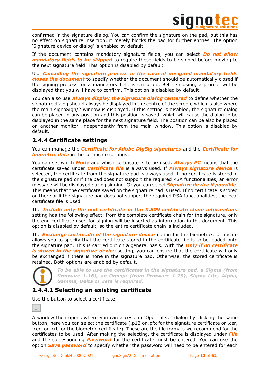

confirmed in the signature dialog. You can confirm the signature on the pad, but this has no effect on signature insertion; it merely blocks the pad for further entries. The option 'Signature device or dialog' is enabled by default.

If the document contains mandatory signature fields, you can select *Do not allow mandatory fields to be skipped* to require these fields to be signed before moving to the next signature field. This option is disabled by default.

Use *Cancelling the signature process in the case of unsigned mandatory fields closes the document* to specify whether the document should be automatically closed if the signing process for a mandatory field is cancelled. Before closing, a prompt will be displayed that you will have to confirm. This option is disabled by default.

You can also use *Always display the signature dialog centered* to define whether the signature dialog should always be displayed in the centre of the screen, which is also where the main signoSign/2 window is displayed. If this setting is disabled, the signature dialog can be placed in any position and this position is saved, which will cause the dialog to be displayed in the same place for the next signature field. The position can be also be placed on another monitor, independently from the main window. This option is disabled by default.

# <span id="page-11-0"></span>**2.4.4 Certificate settings**

You can manage the *Certificate for Adobe DigSig signatures* and the *Certificate for biometric data* in the certificate settings.

You can set which *Mode* and which certificate is to be used. *Always PC* means that the certificate saved under *Certificate file* is always used. If *Always signature device* is selected, the certificate from the signature pad is always used. If no certificate is stored in the signature pad or if the pad does not support the required RSA functionalities, an error message will be displayed during signing. Or you can select *Signature device if possible*. This means that the certificate saved on the signature pad is used. If no certificate is stored on there or if the signature pad does not support the required RSA functionalities, the local certificate file is used.

The *Include only the end certificate in the X.509 certificate chain information.* setting has the following effect: from the complete certificate chain for the signature, only the end certificate used for signing will be inserted as information in the document. This option is disabled by default, so the entire certificate chain is included.

The *Exchange certificate of the signature device* option for the biometrics certificate allows you to specify that the certificate stored in the certificate file is to be loaded onto the signature pad. This is carried out on a general basis. With the *Only if no certificate is stored in the signature device* setting, you can ensure that the certificate will only be exchanged if there is none in the signature pad. Otherwise, the stored certificate is retained. Both options are enabled by default.



*To be able to use the certificates in the signature pad, a Sigma (from firmware 1.16), an Omega (from firmware 1.25), Sigma Lite, Alpha, Gamma, Delta or Zeta is required.*

# <span id="page-11-1"></span>**2.4.4.1 Selecting an existing certificate**

Use the button to select a certificate.



A window then opens where you can access an 'Open file...' dialog by clicking the same button; here you can select the certificate (.p12 or .pfx for the signature certificate or .cer, .cert or .crt for the biometric certificate). These are the file formats we recommend for the certificates to be used. After making the selecting, the certificate is displayed under *File* and the corresponding *Password* for the certificate must be entered. You can use the option *Save password* to specify whether the password will need to be entered for each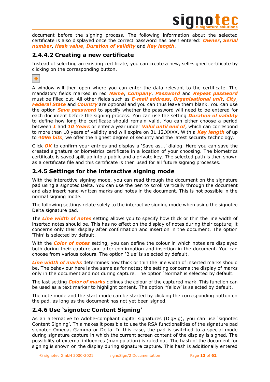

document before the signing process. The following information about the selected certificate is also displayed once the correct password has been entered: *Owner*, *Serial number*, *Hash value*, *Duration of validity* and *Key length*.

# <span id="page-12-0"></span>**2.4.4.2 Creating a new certificate**

Instead of selecting an existing certificate, you can create a new, self-signed certificate by clicking on the corresponding button.

÷

A window will then open where you can enter the data relevant to the certificate. The mandatory fields marked in red *Name*, *Company*, *Password* and *Repeat password* must be filled out. All other fields such as *E-mail address*, *Organisational unit*, *City*, **Federal State** and **Country** are optional and you can thus leave them blank. You can use the option *Save password* to specify whether the password will need to be entered for each document before the signing process. You can use the setting *Duration of validity* to define how long the certificate should remain valid. You can either choose a period between *1* and *10 Years* or enter a year under *Valid until end of*, which can correspond to more than 10 years of validity and will expire on 31.12.XXXX. With a *Key length* of up to *4096 bits*, we offer the highest degree of security and the latest security technology.

Click *OK* to confirm your entries and display a 'Save as...' dialog. Here you can save the created signature or biometrics certificate in a location of your choosing. The biometrics certificate is saved split up into a public and a private key. The selected path is then shown as a certificate file and this certificate is then used for all future signing processes.

# <span id="page-12-1"></span>**2.4.5 Settings for the interactive signing mode**

With the interactive signing mode, you can read through the document on the signature pad using a signotec Delta. You can use the pen to scroll vertically through the document and also insert hand-written marks and notes in the document. This is not possible in the normal signing mode.

The following settings relate solely to the interactive signing mode when using the signotec Delta signature pad.

The *Line width of notes* setting allows you to specify how thick or thin the line width of inserted notes should be. This has no effect on the display of notes during their capture; it concerns only their display after confirmation and insertion in the document. The option 'Thin' is selected by default.

With the *Color of notes* setting, you can define the colour in which notes are displayed both during their capture and after confirmation and insertion in the document. You can choose from various colours. The option 'Blue' is selected by default.

*Line width of marks* determines how thick or thin the line width of inserted marks should be. The behaviour here is the same as for notes; the setting concerns the display of marks only in the document and not during capture. The option 'Normal' is selected by default.

The last setting *Color of marks* defines the colour of the captured mark. This function can be used as a text marker to highlight content. The option 'Yellow' is selected by default.

The note mode and the start mode can be started by clicking the corresponding button on the pad, as long as the document has not yet been signed.

# <span id="page-12-2"></span>**2.4.6 Use 'signotec Content Signing'**

As an alternative to Adobe-compliant digital signatures (DigSig), you can use 'signotec Content Signing'. This makes it possible to use the RSA functionalities of the signature pad signotec Omega, Gamma or Delta. In this case, the pad is switched to a special mode during signature capture in which the current screen content of the display is signed. The possibility of external influences (manipulation) is ruled out. The hash of the document for signing is shown on the display during signature capture. This hash is additionally entered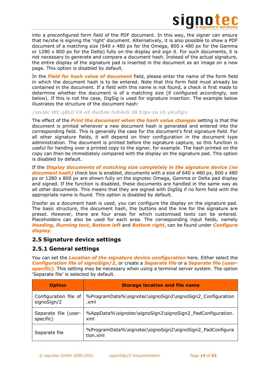

into a preconfigured form field of the PDF document. In this way, the signer can ensure that he/she is signing the 'right' document. Alternatively, it is also possible to show a PDF document of a matching size (640 x 480 px for the Omega, 800 x 480 px for the Gamma or  $1280 \times 800$  px for the Delta) fully on the display and sign it. For such documents, it is not necessary to generate and compare a document hash. Instead of the actual signature, the entire display of the signature pad is inserted in the document as an image on a new page. This option is disabled by default.

In the *Field for hash value of document* field, please enter the name of the form field in which the document hash is to be entered. Note that this form field must already be contained in the document. If a field with this name is not found, a check is first made to determine whether the document is of a matching size (if configured accordingly, see below). If this is not the case, DigSig is used for signature insertion. The example below illustrates the structure of the document hash:

### */anJdc WC q8LO k9 eX Oel54o fuK4sG 38 EJpv zu Lh yKuDg=*

The effect of the *Print the document when the hash value changes* setting is that the document is printed whenever a new document hash is generated and entered into the corresponding field. This is generally the case for the document's first signature field. For all other signature fields, it will depend on their configuration in the document type administration. The document is printed before the signature capture, so this function is useful for handing over a printed copy to the signer, for example. The hash printed on the copy can then be immediately compared with the display on the signature pad. This option is disabled by default.

If the *Display documents of matching size completely in the signature device (no document hash*) check box is enabled, documents with a size of 640 x 480 px, 800 x 480 px or 1280 x 800 px are shown fully on the signotec Omega, Gamma or Delta pad display and signed. If the function is disabled, these documents are handled in the same way as all other documents. This means that they are signed with DigSig if no form field with the appropriate name is found. This option is disabled by default.

Insofar as a document hash is used, you can configure the display on the signature pad. The basic structure, the document hash, the buttons and the line for the signature are preset. However, there are four areas for which customised texts can be entered. Placeholders can also be used for each area. The corresponding input fields, namely *Heading*, *Running text*, *Bottom left* and *Bottom right*, can be found under *Configure display*.

### <span id="page-13-0"></span>**2.5 Signature device settings**

### <span id="page-13-1"></span>**2.5.1 General settings**

You can set the *Location of the signature device configuration* here. Either select the *Configuration file of signoSign/2*, or create a *Separate file* or a *Separate file (userspecific)*. This setting may be necessary when using a terminal server system. The option 'Separate file' is selected by default.

| <b>Option</b>         | <b>Storage location and file name</b>                                 |
|-----------------------|-----------------------------------------------------------------------|
| Configuration file of | %ProgramData%\signotec\signoSign2\signoSign2_Configuration            |
| signoSign/2           | .xml                                                                  |
| Separate file (user-  | %AppData%\signotec\signoSign2\signoSign2_PadConfiguration.            |
| specific)             | xml                                                                   |
| Separate file         | %ProgramData%\signotec\signoSign2\signoSign2_PadConfigura<br>tion.xml |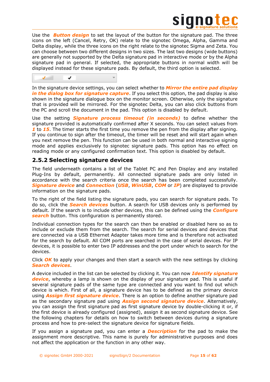

Use the *Button design* to set the layout of the button for the signature pad. The three icons on the left (Cancel, Retry, OK) relate to the signotec Omega, Alpha, Gamma and Delta display, while the three icons on the right relate to the signotec Sigma and Zeta. You can choose between two different designs in two sizes. The last two designs (wide buttons) are generally not supported by the Delta signature pad in interactive mode or by the Alpha signature pad in general. If selected, the appropriate buttons in normal width will be displayed instead for these signature pads. By default, the third option is selected.

 $\checkmark$  $\sqrt{2}$ 

In the signature device settings, you can select whether to *Mirror the entire pad display in the dialog box for signature capture*. If you select this option, the pad display is also shown in the signature dialogue box on the monitor screen. Otherwise, only the signature that is provided will be mirrored. For the signotec Delta, you can also click buttons from the PC and scroll the document in the pad. This option is disabled by default.

Use the setting *Signature process timeout (in seconds)* to define whether the signature provided is automatically confirmed after X seconds. You can select values from **1** to **15**. The timer starts the first time you remove the pen from the display after signing. If you continue to sign after the timeout, the timer will be reset and will start again when you next remove the pen. This function can be used in both normal and interactive signing mode and applies exclusively to signotec signature pads. This option has no effect on reading mode or any configured confirmation text. This option is disabled by default.

# <span id="page-14-0"></span>**2.5.2 Selecting signature devices**

The field underneath contains a list of the Tablet PC and Pen Display and any installed Plug-Ins by default, permanently. All connected signature pads are only listed in accordance with the search criteria once the search has been completed successfully. *Signature device* and *Connection* (*USB*, *WinUSB*, *COM* or *IP*) are displayed to provide information on the signature pads.

To the right of the field listing the signature pads, you can search for signature pads. To do so, click the *Search devices* button. A search for USB devices only is performed by default. If the search is to include other devices, this can be defined using the *Configure search* button. This configuration is permanently stored.

Individual connection types for the search can then be enabled or disabled here so as to include or exclude them from the search. The search for serial devices and devices that are connected via a USB Ethernet Adapter takes more time and is therefore not activated for the search by default. All COM ports are searched in the case of serial devices. For IP devices, it is possible to enter two IP addresses and the port under which to search for the devices.

Click *OK* to apply your changes and then start a search with the new settings by clicking *Search devices*.

A device included in the list can be selected by clicking it. You can now *Identify signature device*, whereby a lamp is shown on the display of your signature pad. This is useful if several signature pads of the same type are connected and you want to find out which device is which. First of all, a signature device has to be defined as the primary device using *Assign first signature device*. There is an option to define another signature pad as the secondary signature pad using *Assign second signature device*. Alternatively, you can assign the first signature pad as first signature device by double-clicking it or, if the first device is already configured (assigned), assign it as second signature device. See the following chapters for details on how to switch between devices during a signature process and how to pre-select the signature device for signature fields.

If you assign a signature pad, you can enter a *Description* for the pad to make the assignment more descriptive. This name is purely for administrative purposes and does not affect the application or the function in any other way.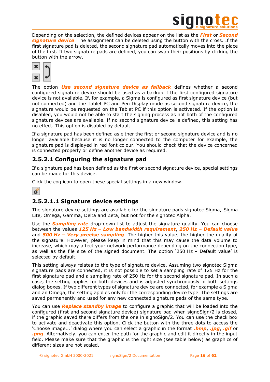

Depending on the selection, the defined devices appear on the list as the *First* or *Second signature device*. The assignment can be deleted using the button with the cross. If the first signature pad is deleted, the second signature pad automatically moves into the place of the first. If two signature pads are defined, you can swap their positions by clicking the button with the arrow.



The option *Use second signature device as fallback* defines whether a second configured signature device should be used as a backup if the first configured signature device is not available. If, for example, a Sigma is configured as first signature device (but not connected) and the Tablet PC and Pen Display mode as second signature device, the signature would be requested on the Tablet PC if this option is activated. If the option is disabled, you would not be able to start the signing process as not both of the configured signature devices are available. If no second signature device is defined, this setting has no effect. This option is disabled by default.

If a signature pad has been defined as either the first or second signature device and is no longer available because it is no longer connected to the computer for example, the signature pad is displayed in red font colour. You should check that the device concerned is connected properly or define another device as required.

# <span id="page-15-0"></span>**2.5.2.1 Configuring the signature pad**

If a signature pad has been defined as the first or second signature device, special settings can be made for this device.

Click the cog icon to open these special settings in a new window.



# <span id="page-15-1"></span>**2.5.2.1.1 Signature device settings**

The signature device settings are available for the signature pads signotec Sigma, Sigma Lite, Omega, Gamma, Delta and Zeta, but not for the signotec Alpha.

Use the *Sampling rate* drop-down list to adjust the signature quality. You can choose between the values *125 Hz – Low bandwidth requirement*, *250 Hz – Default value* and *500 Hz – Very precise sampling*. The higher this value, the higher the quality of the signature. However, please keep in mind that this may cause the data volume to increase, which may affect your network performance depending on the connection type, as well as the file size of the signed document. The option '250 Hz – Default value' is selected by default.

This setting always relates to the type of signature device. Assuming two signotec Sigma signature pads are connected, it is not possible to set a sampling rate of 125 Hz for the first signature pad and a sampling rate of 250 Hz for the second signature pad. In such a case, the setting applies for both devices and is adjusted synchronously in both settings dialog boxes. If two different types of signature device are connected, for example a Sigma and an Omega, the setting applies only for the corresponding device type. The settings are saved permanently and used for any new connected signature pads of the same type.

You can use *Replace standby image* to configure a graphic that will be loaded into the configured (first and second signature device) signature pad when signoSign/2 is closed, if the graphic saved there differs from the one in signoSign/2. You can use the check box to activate and deactivate this option. Click the button with the three dots to access the 'Choose image...' dialog where you can select a graphic in the format *.bmp*, *.jpg*, *.gif* or *.png*. Alternatively, you can enter the path for the graphic and edit it directly in the input field. Please make sure that the graphic is the right size (see table below) as graphics of different sizes are not scaled.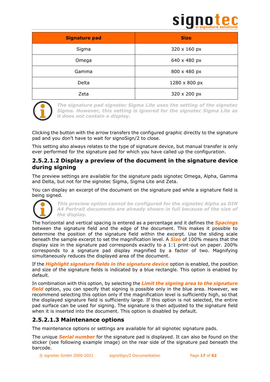

| <b>Signature pad</b> | <b>Size</b>   |
|----------------------|---------------|
| Sigma                | 320 x 160 px  |
| Omega                | 640 x 480 px  |
| Gamma                | 800 x 480 px  |
| Delta                | 1280 x 800 px |
| Zeta                 | 320 x 200 px  |



*The signature pad signotec Sigma Lite uses the setting of the signotec Sigma. However, this setting is ignored for the signotec Sigma Lite as it does not contain a display.*

Clicking the button with the arrow transfers the configured graphic directly to the signature pad and you don't have to wait for signoSign/2 to close.

This setting also always relates to the type of signature device, but manual transfer is only ever performed for the signature pad for which you have called up the configuration.

# <span id="page-16-0"></span>**2.5.2.1.2 Display a preview of the document in the signature device during signing**

The preview settings are available for the signature pads signotec Omega, Alpha, Gamma and Delta, but not for the signotec Sigma, Sigma Lite and Zeta.

You can display an excerpt of the document on the signature pad while a signature field is being signed.



*This preview option cannot be configured for the signotec Alpha as DIN A4 Portrait documents are already shown in full because of the size of the display.*

The horizontal and vertical spacing is entered as a percentage and it defines the *Spacings* between the signature field and the edge of the document. This makes it possible to determine the position of the signature field within the excerpt. Use the sliding scale beneath the sample excerpt to set the magnification level. A *Size* of 100% means that the display size in the signature pad corresponds exactly to a 1:1 print-out on paper. 200% corresponds to a signature pad display magnified by a factor of two. Magnifying simultaneously reduces the displayed area of the document.

If the *Highlight signature fields in the signature device* option is enabled, the position and size of the signature fields is indicated by a blue rectangle. This option is enabled by default.

In combination with this option, by selecting the *Limit the signing area to the signature field* option, you can specify that signing is possible only in the blue area. However, we recommend selecting this option only if the magnification level is sufficiently high, so that the displayed signature field is sufficiently large. If this option is not selected, the entire pad surface can be used for signing. The signature is then adjusted to the signature field when it is inserted into the document. This option is disabled by default.

# <span id="page-16-1"></span>**2.5.2.1.3 Maintenance options**

The maintenance options or settings are available for all signotec signature pads.

The unique *Serial number* for the signature pad is displayed. It can also be found on the sticker (see following example image) on the rear side of the signature pad beneath the barcode.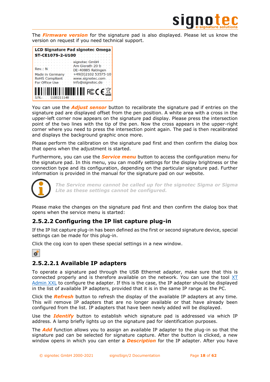

The *Firmware version* for the signature pad is also displayed. Please let us know the version on request if you need technical support.



You can use the *Adjust sensor* button to recalibrate the signature pad if entries on the signature pad are displayed offset from the pen position. A white area with a cross in the upper-left corner now appears on the signature pad display. Please press the intersection point of the two lines with the tip of the pen. Now the cross appears in the upper-right corner where you need to press the intersection point again. The pad is then recalibrated and displays the background graphic once more.

Please perform the calibration on the signature pad first and then confirm the dialog box that opens when the adjustment is started.

Furthermore, you can use the *Service menu* button to access the configuration menu for the signature pad. In this menu, you can modify settings for the display brightness or the connection type and its configuration, depending on the particular signature pad. Further information is provided in the manual for the signature pad on our website.



*The Service menu cannot be called up for the signotec Sigma or Sigma Lite as these settings cannot be configured.*

Please make the changes on the signature pad first and then confirm the dialog box that opens when the service menu is started:

# <span id="page-17-0"></span>**2.5.2.2 Configuring the IP list capture plug-in**

If the IP list capture plug-in has been defined as the first or second signature device, special settings can be made for this plug-in.

Click the cog icon to open these special settings in a new window.



# <span id="page-17-1"></span>**2.5.2.2.1 Available IP adapters**

To operate a signature pad through the USB Ethernet adapter, make sure that this is connected properly and is therefore available on the network. You can use the tool [XT](https://en.signotec.com/xtadminxxl-en)  [Admin XXL](https://en.signotec.com/xtadminxxl-en) to configure the adapter. If this is the case, the IP adapter should be displayed in the list of available IP adapters, provided that it is in the same IP range as the PC.

Click the *Refresh* button to refresh the display of the available IP adapters at any time. This will remove IP adapters that are no longer available or that have already been configured from the list. IP adapters that have been newly added will be displayed.

Use the *Identify* button to establish which signature pad is addressed via which IP address. A lamp briefly lights up on the signature pad for identification purposes.

The *Add* function allows you to assign an available IP adapter to the plug-in so that the signature pad can be selected for signature capture. After the button is clicked, a new window opens in which you can enter a *Description* for the IP adapter. After you have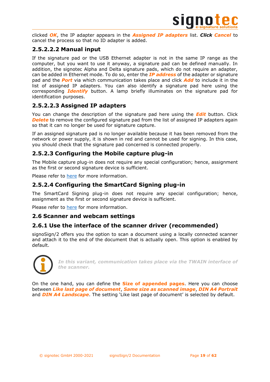

clicked *OK*, the IP adapter appears in the *Assigned IP adapters* list. *Click Cancel* to cancel the process so that no ID adapter is added.

# <span id="page-18-0"></span>**2.5.2.2.2 Manual input**

If the signature pad or the USB Ethernet adapter is not in the same IP range as the computer, but you want to use it anyway, a signature pad can be defined manually. In addition, the signotec Alpha and Delta signature pads, which do not require an adapter, can be added in Ethernet mode. To do so, enter the *IP address* of the adapter or signature pad and the *Port* via which communication takes place and click *Add* to include it in the list of assigned IP adapters. You can also identify a signature pad here using the corresponding *Identify* button. A lamp briefly illuminates on the signature pad for identification purposes.

# <span id="page-18-1"></span>**2.5.2.2.3 Assigned IP adapters**

You can change the description of the signature pad here using the *Edit* button. Click **Delete** to remove the configured signature pad from the list of assigned IP adapters again so that it can no longer be used for signature capture.

If an assigned signature pad is no longer available because it has been removed from the network or power supply, it is shown in red and cannot be used for signing. In this case, you should check that the signature pad concerned is connected properly.

# <span id="page-18-2"></span>**2.5.2.3 Configuring the Mobile capture plug-in**

The Mobile capture plug-in does not require any special configuration; hence, assignment as the first or second signature device is sufficient.

Please refer to [here](#page-59-1) for more information.

# <span id="page-18-3"></span>**2.5.2.4 Configuring the SmartCard Signing plug-in**

The SmartCard Signing plug-in does not require any special configuration; hence, assignment as the first or second signature device is sufficient.

Please refer to [here](#page-60-5) for more information.

# <span id="page-18-4"></span>**2.6 Scanner and webcam settings**

# <span id="page-18-5"></span>**2.6.1 Use the interface of the scanner driver (recommended)**

signoSign/2 offers you the option to scan a document using a locally connected scanner and attach it to the end of the document that is actually open. This option is enabled by default.



*In this variant, communication takes place via the TWAIN interface of the scanner.*

On the one hand, you can define the **Size of appended pages**. Here you can choose between *Like last page of document*, *Same size as scanned image*, *DIN A4 Portrait* and *DIN A4 Landscape*. The setting 'Like last page of document' is selected by default.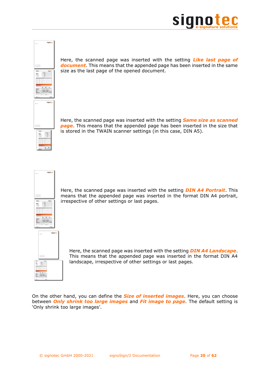



Here, the scanned page was inserted with the setting *Like last page of document*. This means that the appended page has been inserted in the same size as the last page of the opened document.

Here, the scanned page was inserted with the setting *Same size as scanned page*. This means that the appended page has been inserted in the size that is stored in the TWAIN scanner settings (in this case, DIN A5).



Here, the scanned page was inserted with the setting *DIN A4 Portrait*. This means that the appended page was inserted in the format DIN A4 portrait, irrespective of other settings or last pages.



Here, the scanned page was inserted with the setting *DIN A4 Landscape*. This means that the appended page was inserted in the format DIN A4 landscape, irrespective of other settings or last pages.

On the other hand, you can define the *Size of inserted images*. Here, you can choose between *Only shrink too large images* and *Fit image to page*. The default setting is 'Only shrink too large images'.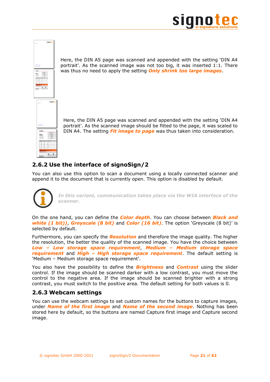



Here, the DIN A5 page was scanned and appended with the setting 'DIN A4 portrait'. As the scanned image was not too big, it was inserted 1:1. There was thus no need to apply the setting *Only shrink too large images*.

Here, the DIN A5 page was scanned and appended with the setting 'DIN A4 portrait'. As the scanned image should be fitted to the page, it was scaled to DIN A4. The setting *Fit image to page* was thus taken into consideration.

# <span id="page-20-0"></span>**2.6.2 Use the interface of signoSign/2**

You can also use this option to scan a document using a locally connected scanner and append it to the document that is currently open. This option is disabled by default.



*In this variant, communication takes place via the WIA interface of the scanner.*

On the one hand, you can define the *Color depth*. You can choose between *Black and white (1 bit))*, *Greyscale (8 bit)* and *Color (16 bit)*. The option 'Greyscale (8 bit)' is selected by default.

Furthermore, you can specify the *Resolution* and therefore the image quality. The higher the resolution, the better the quality of the scanned image. You have the choice between *Low – Low storage space requirement*, *Medium – Medium storage space requirement* and *High – High storage space requirement*. The default setting is 'Medium – Medium storage space requirement'.

You also have the possibility to define the *Brightness* and *Contrast* using the slider control. If the image should be scanned darker with a low contrast, you must move the control to the negative area. If the image should be scanned brighter with a strong contrast, you must switch to the positive area. The default setting for both values is 0.

# <span id="page-20-1"></span>**2.6.3 Webcam settings**

You can use the webcam settings to set custom names for the buttons to capture images, under *Name of the first image* and *Name of the second image*. Nothing has been stored here by default, so the buttons are named Capture first image and Capture second image.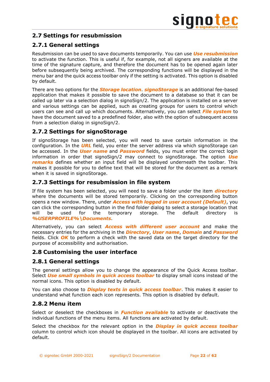# <span id="page-21-0"></span>**2.7 Settings for resubmission**

# <span id="page-21-1"></span>**2.7.1 General settings**

Resubmission can be used to save documents temporarily. You can use *Use resubmission* to activate the function. This is useful if, for example, not all signers are available at the time of the signature capture, and therefore the document has to be opened again later before subsequently being archived. The corresponding functions will be displayed in the menu bar and the quick access toolbar only if the setting is activated. This option is disabled by default.

There are two options for the *Storage location*. *signoStorage* is an additional fee-based application that makes it possible to save the document to a database so that it can be called up later via a selection dialog in signoSign/2. The application is installed on a server and various settings can be applied, such as creating groups for users to control which users can see and call up which documents. Alternatively, you can select *File system* to have the document saved to a predefined folder, also with the option of subsequent access from a selection dialog in signoSign/2.

# <span id="page-21-2"></span>**2.7.2 Settings for signoStorage**

If signoStorage has been selected, you will need to save certain information in the configuration. In the *URL* field, you enter the server address via which signoStorage can be accessed. In the *User name* and *Password* fields, you must enter the correct login information in order that signoSign/2 may connect to signoStorage. The option *Use remarks* defines whether an input field will be displayed underneath the toolbar. This makes it possible for you to define text that will be stored for the document as a remark when it is saved in signoStorage.

# <span id="page-21-3"></span>**2.7.3 Settings for resubmission in file system**

If file system has been selected, you will need to save a folder under the item *directory* where the documents will be stored temporarily. Clicking on the corresponding button opens a new window. There, under *Access with logged in user account (Default)*, you can click the corresponding button in the find folder dialog to select a storage location that will be used for the temporary storage. The default directory is *%USERPROFILE%\Documents*.

Alternatively, you can select *Access with different user account* and make the necessary entries for the archiving in the *Directory*, *User name*, *Domain* and *Password* fields. Click *OK* to perform a check with the saved data on the target directory for the purpose of accessibility and authorisation.

# <span id="page-21-4"></span>**2.8 Customising the user interface**

# <span id="page-21-5"></span>**2.8.1 General settings**

The general settings allow you to change the appearance of the Quick Access toolbar. Select *Use small symbols in quick access toolbar* to display small icons instead of the normal icons. This option is disabled by default.

You can also choose to *Display texts in quick access toolbar*. This makes it easier to understand what function each icon represents. This option is disabled by default.

# <span id="page-21-6"></span>**2.8.2 Menu item**

Select or deselect the checkboxes in *Function available* to activate or deactivate the individual functions of the menu items. All functions are activated by default.

Select the checkbox for the relevant option in the *Display in quick access toolbar* column to control which icon should be displayed in the toolbar. All icons are activated by default.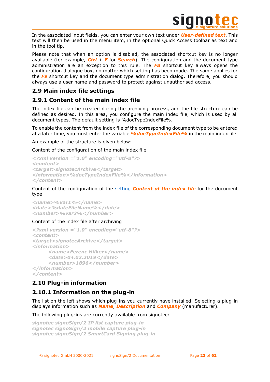

In the associated input fields, you can enter your own text under *User-defined text*. This text will then be used in the menu item, in the optional Quick Access toolbar as text and in the tool tip.

Please note that when an option is disabled, the associated shortcut key is no longer available (for example, *Ctrl* + *F* for *Search*). The configuration and the document type administration are an exception to this rule. The *F8* shortcut key always opens the configuration dialogue box, no matter which setting has been made. The same applies for the *F9* shortcut key and the document type administration dialog. Therefore, you should always use a user name and password to protect against unauthorised access.

# <span id="page-22-0"></span>**2.9 Main index file settings**

# <span id="page-22-1"></span>**2.9.1 Content of the main index file**

The index file can be created during the archiving process, and the file structure can be defined as desired. In this area, you configure the main index file, which is used by all document types. The default setting is %docTypeIndexFile%.

To enable the content from the index file of the corresponding document type to be entered at a later time, you must enter the variable *%docTypeIndexFile%* in the main index file.

An example of the structure is given below:

Content of the configuration of the main index file

```
<?xml version ="1.0" encoding="utf-8"?>
<content>
<target>signotecArchive</target>
<information>%docTypeIndexFile%</information>
</content>
```
Content of the configuration of the [setting](#page-45-2) *Content of the index file* for the document type

```
<name>%var1%</name>
<date>%dateFileName%</date>
<number>%var2%</number>
```
### Content of the index file after archiving

```
<?xml version ="1.0" encoding="utf-8"?>
<content>
<target>signotecArchive</target>
<information>
     <name>Ferenc Hilker</name>
     <date>04.02.2019</date>
     <number>1896</number>
</information>
</content>
```
# <span id="page-22-2"></span>**2.10 Plug-in information**

# <span id="page-22-3"></span>**2.10.1 Information on the plug-in**

The list on the left shows which plug-ins you currently have installed. Selecting a plug-in displays information such as *Name*, *Description* and *Company* (manufacturer).

The following plug-ins are currently available from signotec:

```
signotec signoSign/2 IP list capture plug-in
signotec signoSign/2 mobile capture plug-in
signotec signoSign/2 SmartCard Signing plug-in
```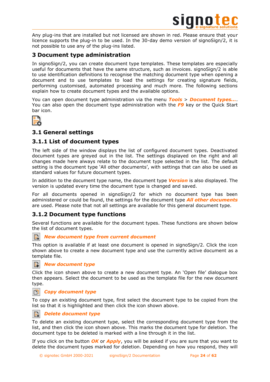

Any plug-ins that are installed but not licensed are shown in red. Please ensure that your licence supports the plug-in to be used. In the 30-day demo version of signoSign/2, it is not possible to use any of the plug-ins listed.

# <span id="page-23-0"></span>**3 Document type administration**

In signoSign/2, you can create document type templates. These templates are especially useful for documents that have the same structure, such as invoices. signoSign/2 is able to use identification definitions to recognise the matching document type when opening a document and to use templates to load the settings for creating signature fields, performing customised, automated processing and much more. The following sections explain how to create document types and the available options.

You can open document type administration via the menu *Tools* > *Document types...*. You can also open the document type administration with the *F9* key or the Quick Start bar icon.



# <span id="page-23-1"></span>**3.1 General settings**

# <span id="page-23-2"></span>**3.1.1 List of document types**

The left side of the window displays the list of configured document types. Deactivated document types are greyed out in the list. The settings displayed on the right and all changes made here always relate to the document type selected in the list. The default setting is the document type 'All other documents', with settings that can also be used as standard values for future document types.

In addition to the document type name, the document type *Version* is also displayed. The version is updated every time the document type is changed and saved.

For all documents opened in signoSign/2 for which no document type has been administered or could be found, the settings for the document type *All other documents* are used. Please note that not all settings are available for this general document type.

# <span id="page-23-3"></span>**3.1.2 Document type functions**

Several functions are available for the document types. These functions are shown below the list of document types.

### *New document type from current document*

This option is available if at least one document is opened in signoSign/2. Click the icon shown above to create a new document type and use the currently active document as a template file.



### *New document type*

Click the icon shown above to create a new document type. An 'Open file' dialogue box then appears. Select the document to be used as the template file for the new document type.

### n *Copy document type*

To copy an existing document type, first select the document type to be copied from the list so that it is highlighted and then click the icon shown above.

### *Delete document type* P.

To delete an existing document type, select the corresponding document type from the list, and then click the icon shown above. This marks the document type for deletion. The document type to be deleted is marked with a line through it in the list.

If you click on the button *OK* or *Apply*, you will be asked if you are sure that you want to delete the document types marked for deletion. Depending on how you respond, they will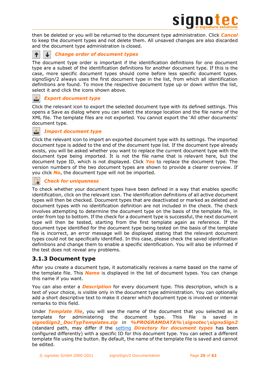

then be deleted or you will be returned to the document type administration. Click *Cancel* to keep the document types and not delete them. All unsaved changes are also discarded and the document type administration is closed.



↓

### *Change order of document types*

The document type order is important if the identification definitions for one document type are a subset of the identification definitions for another document type. If this is the case, more specific document types should come before less specific document types. signoSign/2 always uses the first document type in the list, from which all identification definitions are found. To move the respective document type up or down within the list, select it and click the icons shown above.

## *Export document type*

Click the relevant icon to export the selected document type with its defined settings. This opens a Save as dialog where you can select the storage location and the file name of the XML file. The template files are not exported. You cannot export the 'All other documents' document type.

### *Import document type*

Click the relevant icon to import an exported document type with its settings. The imported document type is added to the end of the document type list. If the document type already exists, you will be asked whether you want to replace the current document type with the document type being imported. It is not the file name that is relevant here, but the document type ID, which is not displayed. Click *Yes* to replace the document type. The version numbers of the two document types are shown to provide a clearer overview. If you click *No*, the document type will not be imported.

# *Check for uniqueness*

To check whether your document types have been defined in a way that enables specific identification, click on the relevant icon. The identification definitions of all active document types will then be checked. Document types that are deactivated or marked as deleted and document types with no identification definition are not included in the check. The check involves attempting to determine the document type on the basis of the template file, in order from top to bottom. If the check for a document type is successful, the next document type will then be tested, starting from the first template again as reference. If the document type identified for the document type being tested on the basis of the template file is incorrect, an error message will be displayed stating that the relevant document types could not be specifically identified. In this case, please check the saved identification definitions and change them to enable a specific identification. You will also be informed if the test does not reveal any problems.

# <span id="page-24-0"></span>**3.1.3 Document type**

After you create a document type, it automatically receives a name based on the name of the template file. This *Name* is displayed in the list of document types. You can change this name if you want.

You can also enter a *Description* for every document type. This description, which is a text of your choice, is visible only in the document type administration. You can optionally add a short descriptive text to make it clearer which document type is involved or internal remarks to this field.

Under *Template file*, you will see the name of the document that you selected as a template for administering the document type. This file is saved in *signoSign2\_DocTypTemplates.zip* in *%PROGRAMDATA%\signotec\signoSign2* (standard path, may differ if the [setting](#page-7-0) *Directory for document types* has been configured differently) with a specific ID for this document type. You can select a different template file using the button. By default, the name of the template file is saved and cannot be edited.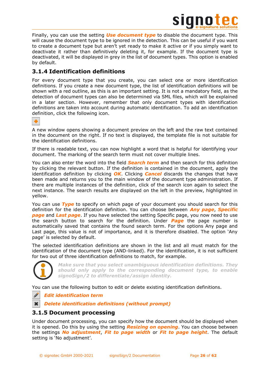

Finally, you can use the setting *Use document type* to disable the document type. This will cause the document type to be ignored in the detection. This can be useful if you want to create a document type but aren't yet ready to make it active or if you simply want to deactivate it rather than definitively deleting it, for example. If the document type is deactivated, it will be displayed in grey in the list of document types. This option is enabled by default.

# <span id="page-25-0"></span>**3.1.4 Identification definitions**

For every document type that you create, you can select one or more identification definitions. If you create a new document type, the list of identification definitions will be shown with a red outline, as this is an important setting. It is not a mandatory field, as the detection of document types can also be determined via SML files, which will be explained in a later section. However, remember that only document types with identification definitions are taken into account during automatic identification. To add an identification definition, click the following icon.



A new window opens showing a document preview on the left and the raw text contained in the document on the right. If no text is displayed, the template file is not suitable for the identification definitions.

If there is readable text, you can now highlight a word that is helpful for identifying your document. The marking of the search term must not cover multiple lines.

You can also enter the word into the field *Search term* and then search for this definition by clicking the relevant button. If the definition is contained in the document, apply the identification definition by clicking *OK*. Clicking *Cancel* discards the changes that have been made and returns you to the main window of the document type administration. If there are multiple instances of the definition, click of the search icon again to select the next instance. The search results are displayed on the left in the preview, highlighted in yellow.

You can use *Type* to specify on which page of your document you should search for this definition for the identification definition. You can choose between *Any page*, *Specific page* and *Last page*. If you have selected the setting Specific page, you now need to use the search button to search for the definition. Under *Page* the page number is automatically saved that contains the found search term. For the options Any page and Last page, this value is not of importance, and it is therefore disabled. The option 'Any page' is selected by default.

The selected identification definitions are shown in the list and all must match for the identification of the document type (AND-linked). For the identification, it is not sufficient for two out of three identification definitions to match, for example.



D

*Make sure that you select unambiguous identification definitions. They should only apply to the corresponding document type, to enable signoSign/2 to differentiate/assign identity.*

You can use the following button to edit or delete existing identification definitions.

*Edit identification term*

*Delete identification definitions (without prompt)*  $\ast$ 

# <span id="page-25-1"></span>**3.1.5 Document processing**

Under document processing, you can specify how the document should be displayed when it is opened. Do this by using the setting *Resizing on opening*. You can choose between the settings *No adjustment*, *Fit to page width* or *Fit to page height*. The default setting is 'No adjustment'.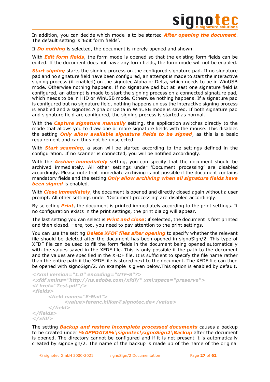

In addition, you can decide which mode is to be started *After opening the document*. The default setting is 'Edit form fields'.

If *Do nothing* is selected, the document is merely opened and shown.

With *Edit form fields*, the form mode is opened so that the existing form fields can be edited. If the document does not have any form fields, the form mode will not be enabled.

**Start signing** starts the signing process on the configured signature pad. If no signature pad and no signature field have been configured, an attempt is made to start the interactive signing process (if enabled) on the signotec Alpha or Delta, which needs to be in WinUSB mode. Otherwise nothing happens. If no signature pad but at least one signature field is configured, an attempt is made to start the signing process on a connected signature pad, which needs to be in HID or WinUSB mode. Otherwise nothing happens. If a signature pad is configured but no signature field, nothing happens unless the interactive signing process is enabled and a signotec Alpha or Delta in WinUSB mode is saved. If both signature pad and signature field are configured, the signing process is started as normal.

With the *Capture signature manually* setting, the application switches directly to the mode that allows you to draw one or more signature fields with the mouse. This disables the setting *Only allow available signature fields to be signed*, as this is a basic requirement and can thus not be unselected.

With *Start scanning*, a scan will be started according to the settings defined in the configuration. If no scanner is connected, you will be notified accordingly.

With the *Archive immediately* setting, you can specify that the document should be archived immediately. All other settings under 'Document processing' are disabled accordingly. Please note that immediate archiving is not possible if the document contains mandatory fields and the setting *Only allow archiving when all signature fields have been signed* is enabled.

With **Close immediately**, the document is opened and directly closed again without a user prompt. All other settings under 'Document processing' are disabled accordingly.

By selecting *Print*, the document is printed immediately according to the print settings. If no configuration exists in the print settings, the print dialog will appear.

The last setting you can select is *Print and close*; if selected, the document is first printed and then closed. Here, too, you need to pay attention to the print settings.

You can use the setting *Delete XFDF files after opening* to specify whether the relevant file should be deleted after the document has been opened in signoSign/2. This type of XFDF file can be used to fill the form fields in the document being opened automatically with the values saved in the XFDF file. This is only possible if the path to the document and the values are specified in the XFDF file. It is sufficient to specify the file name rather than the entire path if the XFDF file is stored next to the document. The XFDF file can then be opened with signoSign/2. An example is given below.This option is enabled by default.

```
<?xml version="1.0" encoding="UTF-8"?>
<xfdf xmlns="http://ns.adobe.com/xfdf/" xml:space="preserve">
<f href="Test.pdf"/>
<fields>
     <field name="E-Mail">
           <value>ferenc.hilker@signotec.de</value>
     </field>
</fields>
</xfdf>
```
The setting *Backup and restore incomplete processed documents* causes a backup to be created under *%APPDATA%\signotec\signoSign2\Backup* after the document is opened. The directory cannot be configured and if it is not present it is automatically created by signoSign/2. The name of the backup is made up of the name of the original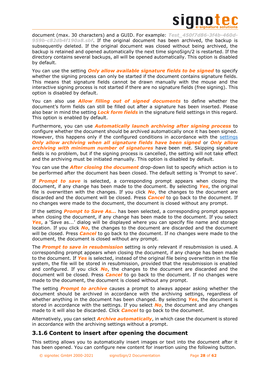

document (max. 30 characters) and a GUID. For example: *Test\_450f7d86-3f4b-460d-959b-c82db4f190a8.sbf*. If the original document has been archived, the backup is subsequently deleted. If the original document was closed without being archived, the backup is retained and opened automatically the next time signoSign/2 is restarted. If the directory contains several backups, all will be opened automatically. This option is disabled by default.

You can use the setting *Only allow available signature fields to be signed* to specify whether the signing process can only be started if the document contains signature fields. This means that signature fields cannot be drawn manually with the mouse and the interactive signing process is not started if there are no signature fields (free signing). This option is disabled by default.

You can also use *Allow filling out of signed documents* to define whether the document's form fields can still be filled out after a signature has been inserted. Please also bear in mind the setting *Lock form fields* in the signature field settings in this regard. This option is enabled by default.

Furthermore, you can use *Automatically launch archiving after signing process* to configure whether the document should be archived automatically once it has been signed. However, this happens only if the configured conditions in accordance with the [settings](#page-44-2) *Only allow archiving when all signature fields have been signed* or *Only allow archiving with minimum number of signatures* have been met. Skipping signature fields is no problem, but if the signing process is cancelled, the setting will not take effect and the archiving must be initiated manually. This option is disabled by default.

You can use the *After closing the document* drop-down list to specify which action is to be performed after the document has been closed. The default setting is 'Prompt to save'.

If *Prompt to save* is selected, a corresponding prompt appears when closing the document, if any change has been made to the document. By selecting *Yes*, the original file is overwritten with the changes. If you click *No*, the changes to the document are discarded and the document will be closed. Press *Cancel* to go back to the document. If no changes were made to the document, the document is closed without any prompt.

If the setting *Prompt to Save As...* has been selected, a corresponding prompt appears when closing the document, if any change has been made to the document. If you select *Yes*, a 'Save as...' dialog will be displayed where you can specify file name and storage location. If you click *No*, the changes to the document are discarded and the document will be closed. Press *Cancel* to go back to the document. If no changes were made to the document, the document is closed without any prompt.

The *Prompt to save in resubmission* setting is only relevant if resubmission is used. A corresponding prompt appears when closing the document, if any change has been made to the document. If *Yes* is selected, instead of the original file being overwritten in the file system, the file will be stored in resubmission, provided that the resubmission is enabled and configured. If you click *No*, the changes to the document are discarded and the document will be closed. Press *Cancel* to go back to the document. If no changes were made to the document, the document is closed without any prompt.

The setting *Prompt to archive* causes a prompt to always appear asking whether the document should be archived in accordance with the archiving settings, regardless of whether anything in the document has been changed. By selecting *Yes*, the document is stored in accordance with the settings. If you select *No*, the document and any changes made to it will also be discarded. Click *Cancel* to go back to the document.

Alternatively, you can select *Archive automatically*, in which case the document is stored in accordance with the archiving settings without a prompt.

# <span id="page-27-0"></span>**3.1.6 Content to insert after opening the document**

This setting allows you to automatically insert images or text into the document after it has been opened. You can configure new content for insertion using the following button.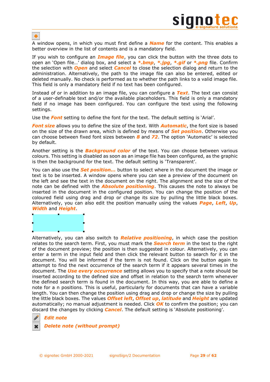

٠

A window opens, in which you must first define a *Name* for the content. This enables a better overview in the list of contents and is a mandatory field.

If you wish to configure an *Image file*, you can click the button with the three dots to open an 'Open file…' dialog box, and select a *\*.bmp*, *\*.jpg*, *\*.gif* or *\*.png* file. Confirm the selection with *Open* and select *Cancel* to close the selection dialog and return to the administration. Alternatively, the path to the image file can also be entered, edited or deleted manually. No check is performed as to whether the path links to a valid image file. This field is only a mandatory field if no text has been configured.

Instead of or in addition to an image file, you can configure a *Text*. The text can consist of a user-definable text and/or the available placeholders. This field is only a mandatory field if no image has been configured. You can configure the text using the following settings.

Use the *Font* setting to define the font for the text. The default setting is 'Arial'.

*Font size* allows you to define the size of the text. With *Automatic*, the font size is based on the size of the drawn area, which is defined by means of *Set position*. Otherwise you can choose between fixed font sizes between *8* and *72*. The option 'Automatic' is selected by default.

Another setting is the *Background color* of the text. You can choose between various colours. This setting is disabled as soon as an image file has been configured, as the graphic is then the background for the text. The default setting is 'Transparent'.

You can also use the *Set position...* button to select where in the document the image or text is to be inserted. A window opens where you can see a preview of the document on the left and see the text in the document on the right. The alignment and the size of the note can be defined with the *Absolute positioning*. This causes the note to always be inserted in the document in the configured position. You can change the position of the coloured field using drag and drop or change its size by pulling the little black boxes. Alternatively, you can also edit the position manually using the values *Page*, *Left*, *Up*, *Width* and *Height*.

ä.

Alternatively, you can also switch to *Relative positioning*, in which case the position relates to the search term. First, you must mark the *Search term* in the text to the right of the document preview; the position is then suggested in colour. Alternatively, you can enter a term in the input field and then click the relevant button to search for it in the document. You will be informed if the term is not found. Click on the button again to attempt to find the next occurrence of the search term if it appears several times in the document. The *Use every occurrence* setting allows you to specify that a note should be inserted according to the defined size and offset in relation to the search term whenever the defined search term is found in the document. In this way, you are able to define a note for a n positions. This is useful, particularly for documents that can have a variable length. You can then change the position using drag and drop or change the size by pulling the little black boxes. The values *Offset left*, *Offset up*, *latitude* and *Height* are updated automatically; no manual adjustment is needed. Click *OK* to confirm the position; you can discard the changes by clicking *Cancel*. The default setting is 'Absolute positioning'.



### *Delete note (without prompt)*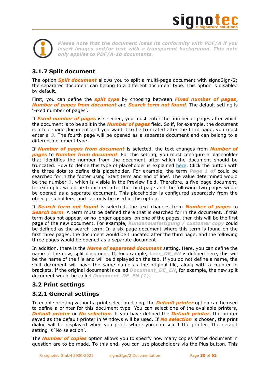

*Please note that the document loses its conformity with PDF/A if you insert images and/or text with a transparent background. This note only applies to PDF/A-1b documents.*

# <span id="page-29-0"></span>**3.1.7 Split document**

The option *Split document* allows you to split a multi-page document with signoSign/2; the separated document can belong to a different document type. This option is disabled by default.

First, you can define the *split type* by choosing between *Fixed number of pages*, *Number of pages from document* and *Search term not found*. The default setting is 'Fixed number of pages'.

If *Fixed number of pages* is selected, you must enter the number of pages after which the document is to be split in the *Number of pages* field. So if, for example, the document is a four-page document and you want it to be truncated after the third page, you must enter a *3*. The fourth page will be opened as a separate document and can belong to a different document type.

If *Number of pages from document* is selected, the text changes from *Number of pages* to *Number from document*. For this setting, you must configure a placeholder that identifies the number from the document after which the document should be truncated. How to define this type of placeholder is explained [here.](#page-38-2) Click the button with the three dots to define this placeholder. For example, the term *Page 1 of* could be searched for in the footer using 'Start term and end of line'. The value determined would be the number *3*, which is visible in the Preview field. Therefore, a five-page document, for example, would be truncated after the third page and the following two pages would be opened as a separate document. This placeholder is configured separately from the other placeholders, and can only be used in this option.

If *Search term not found* is selected, the text changes from *Number of pages* to *Search term*. A term must be defined there that is searched for in the document. If this term does not appear, or no longer appears, on one of the pages, then this will be the first page of the new document. For example, *Kundenausfertigung / customer copy* could be defined as the search term. In a six-page document where this term is found on the first three pages, the document would be truncated after the third page, and the following three pages would be opened as a separate document.

In addition, there is the *Name of separated document* setting. Here, you can define the name of the new, split document. If, for example, *Leer\_DE\_EN* is defined here, this will be the name of the file and will be displayed on the tab. If you do not define a name, the split document will have the same name as the original file, along with a counter in brackets. If the original document is called *Document\_DE\_EN*, for example, the new split document would be called *Document\_DE\_EN (1)*.

# <span id="page-29-1"></span>**3.2 Print settings**

# <span id="page-29-2"></span>**3.2.1 General settings**

To enable printing without a print selection dialog, the *Default printer* option can be used to define a printer for this document type. You can select one of the available printers, *Default printer* or *No selection*. If you have defined the *Default printer*, the printer saved as the default printer in Windows will be used. If *No selection* is chosen, the print dialog will be displayed when you print, where you can select the printer. The default setting is 'No selection'.

The *Number of copies* option allows you to specify how many copies of the document in question are to be made. To this end, you can use placeholders via the Plus button. This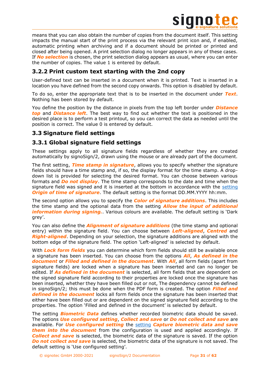

means that you can also obtain the number of copies from the document itself. This setting impacts the manual start of the print process via the relevant print icon and, if enabled, automatic printing when archiving and if a document should be printed or printed and closed after being opened. A print selection dialog no longer appears in any of these cases. If *No selection* is chosen, the print selection dialog appears as usual, where you can enter the number of copies. The value 1 is entered by default.

# <span id="page-30-0"></span>**3.2.2 Print custom text starting with the 2nd copy**

User-defined text can be inserted in a document when it is printed. Text is inserted in a location you have defined from the second copy onwards. This option is disabled by default.

To do so, enter the appropriate text that is to be inserted in the document under *Text*. Nothing has been stored by default.

You define the position by the distance in pixels from the top left border under *Distance top* and *Distance left*. The best way to find out whether the text is positioned in the desired place is to perform a test printout, so you can correct the data as needed until the position is correct. The value 0 is entered by default.

# <span id="page-30-1"></span>**3.3 Signature field settings**

# <span id="page-30-2"></span>**3.3.1 Global signature field settings**

These settings apply to all signature fields regardless of whether they are created automatically by signoSign/2, drawn using the mouse or are already part of the document.

The first setting, *Time stamp in signature*, allows you to specify whether the signature fields should have a time stamp and, if so, the display format for the time stamp. A dropdown list is provided for selecting the desired format. You can choose between various formats and *Do not display*. The time stamp corresponds to the date and time when the signature field was signed and it is inserted at the bottom in accordance with the [setting](#page-10-0) *Origin of time of signature*. The default setting is the format DD.MM.YYYY hh:mm.

The second option allows you to specify the *Color of signature additions*. This includes the time stamp and the optional data from the setting *Allow the input of additional information during signing.*. Various colours are available. The default setting is 'Dark grey'.

You can also define the *Alignment of signature additions* (the time stamp and optional entry) within the signature field. You can choose between *Left-aligned*, *Centred* and *Right-aligned*. Depending on your selection, the signature additions are aligned with the bottom edge of the signature field. The option 'Left-aligned' is selected by default.

With **Lock form fields** you can determine which form fields should still be available once a signature has been inserted. You can choose from the options *All*, *As defined in the document* or *Filled and defined in the document*. With *All*, all form fields (apart from signature fields) are locked when a signature has been inserted and can no longer be edited. If *As defined in the document* is selected, all form fields that are dependent on the signed signature field according to their properties are locked once the signature has been inserted, whether they have been filled out or not, The dependency cannot be defined in signoSign/2; this must be done when the PDF form is created. The option *Filled and defined in the document* locks all form fields once the signature has been inserted that either have been filled out or are dependent on the signed signature field according to the properties. The option 'Filled and defined in the document' is selected by default.

The setting *Biometric Data* defines whether recorded biometric data should be saved. The options *Use configured setting*, *Collect and save* or *Do not collect and save* are available. For *Use configured setting* the [setting](#page-13-1) *Capture biometric data and save them into the document* from the configuration is used and applied accordingly. If *Collect and save* is selected, the biometric data of the signature is saved. If the option *Do not collect and save* is selected, the biometric data of the signature is not saved. The default setting is 'Use configured setting'.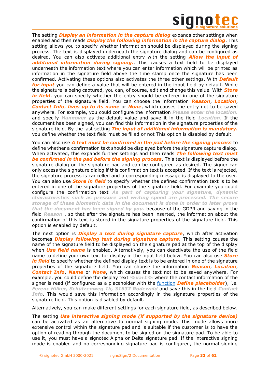

The setting *Display an information in the capture dialog* expands other settings when enabled and then reads *Display the following information in the capture dialog*. This setting allows you to specify whether information should be displayed during the signing process. The text is displayed underneath the signature dialog and can be configured as desired. You can also activate additional entry with the setting *Allow the input of additional information during signing.*. This causes a text field to be displayed underneath the information text where you can enter information which will be printed as information in the signature field above the time stamp once the signature has been confirmed. Activating these options also activates the three other settings. With *Default for input* you can define a value that will be entered in the input field by default. While the signature is being captured, you can, of course, edit and change this value. With *Store*  in field, you can specify whether the entry should be entered in one of the signature properties of the signature field. You can choose the information *Reason*, *Location*, *Contact Info*, *lives up to its name* or *None*, which causes the entry not to be saved anywhere. For example, you could configure the information *Please enter the location.* and specify *Hannover* as the default value and save it in the field *Location*. If the document has been signed, you can find this information in the signature properties of the signature field. By the last setting *The input of additional information is mandatory.* you define whether the text field must be filled or not This option is disabled by default.

You can also use *A text must be confirmed in the pad before the signing process* to define whether a confirmation text should be displayed before the signature capture dialog. When activated, this expands further settings and then reads *The following text must be confirmed in the pad before the signing process*. This text is displayed before the signature dialog on the signature pad and can be configured as desired. The signer can only access the signature dialog if this confirmation text is accepted. If the text is rejected, the signature process is cancelled and a corresponding message is displayed to the user. You can also use *Store in field* to specify whether the defined confirmation text is to be entered in one of the signature properties of the signature field. For example you could configure the confirmation text *As part of capturing your signature, dynamic characteristics such as pressure and writing speed are processed. The secure storage of these biometric data in the document is done in order to later prove that the document has been signed by you.* because of the GDPR and saving in the field *Reason* , so that after the signature has been inserted, the information about the confirmation of this text is stored in the signature properties of the signature field. This option is enabled by default.

The next option is *Display a text during signature capture*, which after activation becomes *Display following text during signature capture*. This setting causes the name of the signature field to be displayed on the signature pad at the top of the display when *Use field name* is enabled. Alternatively, you can deactivate the use of the field name to define your own text for display in the input field below. You can also use *Store in field* to specify whether the defined display text is to be entered in one of the signature properties of the signature field. You can choose the information *Reason*, *Location*, *Contact Info*, *Name* or *None*, which causes the text not to be saved anywhere. For example, you could define the display text *%var1%* where the contact information of the signer is read (if configured as a placeholder with the [function](#page-38-1) *Define placeholder*), i.e. *Ferenc Hilker, Schützenweg 1b, 31637 Rodewald* and save this in the field *Contact Info*. This would save this information accordingly in the signature properties of the signature field. This option is disabled by default.

Alternatively, you can make different settings for each signature field, as described below.

The setting *Use interactive signing mode (if supported by the signature device)* can be activated as an alternative to normal signing mode. This mode allows more extensive control within the signature pad and is suitable if the customer is to have the option of reading through the document to be signed on the signature pad. To be able to use it, you must have a signotec Alpha or Delta signature pad. If the interactive signing mode is enabled and no corresponding signature pad is configured, the normal signing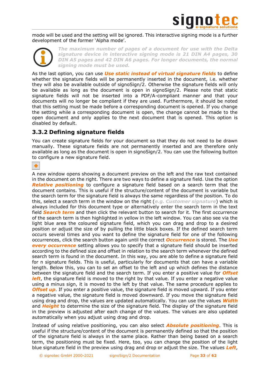

mode will be used and the setting will be ignored. This interactive signing mode is a further development of the former 'Alpha mode'.

> *The maximum number of pages of a document for use with the Delta signature device in interactive signing mode is 21 DIN A4 pages, 30 DIN A5 pages and 42 DIN A6 pages. For longer documents, the normal signing mode must be used.*

As the last option, you can use *Use static instead of virtual signature fields* to define whether the signature fields will be permanently inserted in the document, i.e. whether they will also be available outside of signoSign/2. Otherwise the signature fields will only be available as long as the document is open in signoSign/2. Please note that static signature fields will not be inserted into a PDF/A-compliant manner and that your documents will no longer be compliant if they are used. Furthermore, it should be noted that this setting must be made before a corresponding document is opened. If you change the setting while a corresponding document is open, the change cannot be made to the open document and only applies to the next document that is opened. This option is disabled by default.

# <span id="page-32-0"></span>**3.3.2 Defining signature fields**

You can create signature fields for your document so that they do not need to be drawn manually. These signature fields are not permanently inserted and are therefore only available as long as the document is open in signoSign/2. You can use the following button to configure a new signature field.

# ٠

A new window opens showing a document preview on the left and the raw text contained in the document on the right. There are two ways to define a signature field. Use the option *Relative positioning* to configure a signature field based on a search term that the document contains. This is useful if the structure/content of the document is variable but the search term for the signature field is always the same regardless of the position. To do this, select a search term in the window on the right (*e.g. Customer signature*) which is always included for this document type or alternatively enter the search term in the text field *Search term* and then click the relevant button to search for it. The first occurrence of the search term is then highlighted in yellow in the left window. You can also see via the light blue area the coloured signature field, which you can drag and drop to a desired position or adjust the size of by pulling the little black boxes. If the defined search term occurs several times and you want to define the signature field for one of the following occurrences, click the search button again until the correct *Occurrence* is stored. The *Use every occurrence* setting allows you to specify that a signature field should be inserted according to the defined size and offset in relation to the search term whenever the defined search term is found in the document. In this way, you are able to define a signature field for n signature fields. This is useful, particularly for documents that can have a variable length. Below this, you can to set an offset to the left and up which defines the distance between the signature field and the search term. If you enter a positive value for *Offset left*, the signature field is moved to the right by that value. If you enter a negative value using a minus sign, it is moved to the left by that value. The same procedure applies to *Offset up*. If you enter a positive value, the signature field is moved upward. If you enter a negative value, the signature field is moved downward. If you move the signature field using drag and drop, the values are updated automatically. You can use the values *Width* and *Height* to determine the size of the signature field. The display of the signature field in the preview is adjusted after each change of the values. The values are also updated automatically when you adjust using drag and drop.

Instead of using relative positioning, you can also select *Absolute positioning*. This is useful if the structure/content of the document is permanently defined so that the position of the signature field is always in the same place. Rather than being based on a search term, the positioning must be fixed. Here, too, you can change the position of the light blue signature field in the preview using drag and drop or adjust the size. The values *Left*,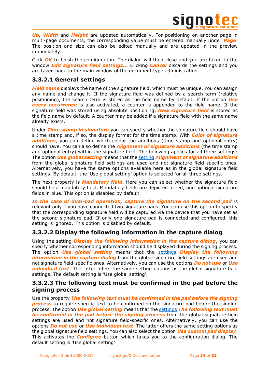

*Up*, *Width* and *Height* are updated automatically. For positioning on another page in multi-page documents, the corresponding value must be entered manually under *Page*. The position and size can also be edited manually and are updated in the preview immediately.

Click *OK* to finish the configuration. The dialog will then close and you are taken to the window *Edit signature field settings...* Clicking *Cancel* discards the settings and you are taken back to the main window of the document type administration.

# <span id="page-33-0"></span>**3.3.2.1 General settings**

*Field name* displays the name of the signature field, which must be unique. You can assign any name and change it. If the signature field was defined by a search term (relative positioning), the search term is stored as the field name by default. If the option *Use*  **every occurrence** is also activated, a counter is appended to the field name. If the signature field was stored using absolute positioning, *New signature field* is stored as the field name by default. A counter may be added if a signature field with the same name already exists.

Under *Time stamp in signature* you can specify whether the signature field should have a time stamp and, if so, the display format for the time stamp. With *Color of signature additions*, you can define which colour the additions (time stamp and optional entry) should have. You can also define the *Alignment of signature additions* (the time stamp and optional entry) within the signature field. The following applies for all three settings: The option *Use global setting* means that the [setting](#page-30-2) *Alignment of signature additions* from the global signature field settings are used and not signature field-specific ones. Alternatively, you have the same options available here as in the global signature field settings. By default, the 'Use global setting' option is selected for all three settings.

The next property is *Mandatory field*. Here you can select whether the signature field should be a mandatory field. Mandatory fields are depicted in red, and optional signature fields in blue. This option is disabled by default.

*In the case of dual-pad operation, capture the signature on the second pad* is relevant only if you have connected two signature pads. You can use this option to specify that the corresponding signature field will be captured via the device that you have set as the second signature pad. If only one signature pad is connected and configured, this setting is ignored. This option is disabled by default.

# <span id="page-33-1"></span>**3.3.2.2 Display the following information in the capture dialog**

Using the setting *Display the following information in the capture dialog*, you can specify whether corresponding information should be displayed during the signing process. The option *Use global setting* means that the [settings](#page-30-2) *Display the following information in the capture dialog* from the global signature field settings are used and not signature field-specific ones. Alternatively, you can use the options *Do not use* or *Use individual text*. The latter offers the same setting options as the global signature field settings. The default setting is 'Use global setting'.

# <span id="page-33-2"></span>**3.3.2.3 The following text must be confirmed in the pad before the signing process**

Use the property *The following text must be confirmed in the pad before the signing process* to require specific text to be confirmed on the signature pad before the signing process. The option *Use global setting* means that the [settings](#page-30-2) *The following text must be confirmed in the pad before the signing process* from the global signature field settings are used and not signature field-specific ones. Alternatively, you can use the options *Do not use* or *Use individual text*. The latter offers the same setting options as the global signature field settings. You can also select the option *Use custom pad display*. This activates the *Configure* button which takes you to the configuration dialog. The default setting is 'Use global setting'.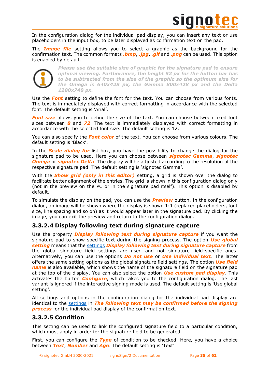

In the configuration dialog for the individual pad display, you can insert any text or use placeholders in the input box, to be later displayed as confirmation text on the pad.

The *Image file* setting allows you to select a graphic as the background for the confirmation text. The common formats *.bmp*, *.jpg*, *.gif* and *.png* can be used. This option is enabled by default.



*Please use the suitable size of graphic for the signature pad to ensure optimal viewing. Furthermore, the height 52 px for the button bar has to be subtracted from the size of the graphic so the optimum size for the Omega is 640x428 px, the Gamma 800x428 px and the Delta 1280x748 px.*

Use the *Font* setting to define the font for the text. You can choose from various fonts. The text is immediately displayed with correct formatting in accordance with the selected font. The default setting is 'Arial'.

*Font size* allows you to define the size of the text. You can choose between fixed font sizes between *8* and *72*. The text is immediately displayed with correct formatting in accordance with the selected font size. The default setting is 12.

You can also specify the *Font color* of the text. You can choose from various colours. The default setting is 'Black'.

In the *Scale dialog for* list box, you have the possibility to change the dialog for the signature pad to be used. Here you can choose between *signotec Gamma*, *signotec Omega* or *signotec Delta*. The display will be adjusted according to the resolution of the respective signature pad. The default setting is 'signotec Gamma'.

With the *Show grid (only in this editor)* setting, a grid is shown over the dialog to facilitate better alignment of the entries. The grid is shown in this configuration dialog only (not in the preview on the PC or in the signature pad itself). This option is disabled by default.

To simulate the display on the pad, you can use the *Preview* button. In the configuration dialog, an image will be shown where the display is shown 1:1 (replaced placeholders, font size, line spacing and so on) as it would appear later in the signature pad. By clicking the image, you can exit the preview and return to the configuration dialog.

# <span id="page-34-0"></span>**3.3.2.4 Display following text during signature capture**

Use the property *Display following text during signature capture* if you want the signature pad to show specific text during the signing process. The option *Use global setting* means that the [settings](#page-30-2) *Display following text during signature capture* from the global signature field settings are used and not signature field-specific ones. Alternatively, you can use the options *Do not use* or *Use individual text*. The latter offers the same setting options as the global signature field settings. The option *Use field name* is also available, which shows the name of the signature field on the signature pad at the top of the display. You can also select the option *Use custom pad display*. This activates the button *Configure*, which takes you to the configuration dialog. The last variant is ignored if the interactive signing mode is used. The default setting is 'Use global setting'.

All settings and options in the configuration dialog for the individual pad display are identical to the [settings](#page-33-2) in *The following text may be confirmed before the signing process* for the individual pad display of the confirmation text.

# <span id="page-34-1"></span>**3.3.2.5 Condition**

This setting can be used to link the configured signature field to a particular condition, which must apply in order for the signature field to be generated.

First, you can configure the *Type* of condition to be checked. Here, you have a choice between *Text*, *Number* and *Age*. The default setting is 'Text'.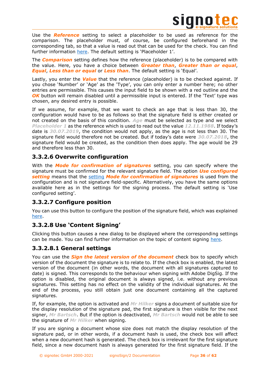

Use the *Reference* setting to select a placeholder to be used as reference for the comparison. The placeholder must, of course, be configured beforehand in the corresponding tab, so that a value is read out that can be used for the check. You can find further information [here.](#page-38-1) The default setting is 'Placeholder 1'.

The *Comparison* setting defines how the reference (placeholder) is to be compared with the value. Here, you have a choice between *Greater than*, *Greater than or equal*, *Equal*, *Less than or equal* or *Less than*. The default setting is 'Equal'.

Lastly, you enter the *Value* that the reference (placeholder) is to be checked against. If you chose 'Number' or 'Age' as the 'Type', you can only enter a number here; no other entries are permissible. This causes the input field to be shown with a red outline and the *OK* button will remain disabled until a permissible input is entered. If the 'Text' type was chosen, any desired entry is possible.

If we assume, for example, that we want to check an age that is less than 30, the configuration would have to be as follows so that the signature field is either created or not created on the basis of this condition. *Age* must be selected as type and we select *Placeholder 1* as the reference which is used to read out the value *12.11.1988*. If today's date is *30.07.2019*, the condition would not apply, as the age is not less than 30. The signature field would therefore not be created. But if today's date were *30.07.2018*, the signature field would be created, as the condition then does apply. The age would be 29 and therefore less than 30.

# <span id="page-35-0"></span>**3.3.2.6 Overwrite configuration**

With the *Mode for confirmation of signatures* setting, you can specify where the signature must be confirmed for the relevant signature field. The option *Use configured setting* means that the [setting](#page-10-1) *Mode for confirmation of signatures* is used from the configuration and is not signature field-specific. Alternatively, you have the same options available here as in the settings for the signing process. The default setting is 'Use configured setting'.

# <span id="page-35-1"></span>**3.3.2.7 Configure position**

You can use this button to configure the position of the signature field, which was explained [here.](#page-32-0)

# <span id="page-35-2"></span>**3.3.2.8 Use 'Content Signing'**

Clicking this button causes a new dialog to be displayed where the corresponding settings can be made. You can find further information on the topic of content signing [here.](file:///C:/Users/matze/Library/Group%20Containers/G69SCX94XU.DRACOON/Library/Application%20Support/DRACOON/Volumes/TypeTime%20–%20DRACOON/TT-Server/Bestandskunden/Signotec%20GmbH/40867/Quelle/%23_%22signotec_Content_Signing)

# <span id="page-35-3"></span>**3.3.2.8.1 General settings**

You can use the *Sign the latest version of the document* check box to specify which version of the document the signature is to relate to. If the check box is enabled, the latest version of the document (in other words, the document with all signatures captured to date) is signed. This corresponds to the behaviour when signing with Adobe DigSig. If the option is disabled, the original document is always signed, i.e. without any previous signatures. This setting has no effect on the validity of the individual signatures. At the end of the process, you still obtain just one document containing all the captured signatures.

If, for example, the option is activated and *Mr Hilker* signs a document of suitable size for the display resolution of the signature pad, the first signature is then visible for the next signer, *Mr Bartsch*. But if the option is deactivated, *Mr Bartsch* would not be able to see the signature of *Mr Hilker* when signing.

If you are signing a document whose size does not match the display resolution of the signature pad, or in other words, if a document hash is used, the check box will affect when a new document hash is generated. The check box is irrelevant for the first signature field, since a new document hash is always generated for the first signature field. If the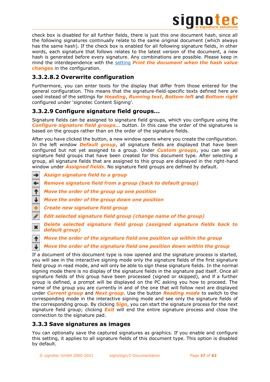

check box is disabled for all further fields, there is just this one document hash, since all the following signatures continually relate to the same original document (which always has the same hash). If the check box is enabled for all following signature fields, in other words, each signature that follows relates to the latest version of the document, a new hash is generated before every signature. Any combinations are possible. Please keep in mind the interdependence with the [setting](file:///C:/Users/matze/Library/Group%20Containers/G69SCX94XU.DRACOON/Library/Application%20Support/DRACOON/Volumes/TypeTime%20–%20DRACOON/TT-Server/Bestandskunden/Signotec%20GmbH/40867/Quelle/%23_%22signotec_Content_Signing) *Print the document when the hash value changes* in the configuration.

# <span id="page-36-0"></span>**3.3.2.8.2 Overwrite configuration**

Furthermore, you can enter texts for the display that differ from those entered for the general configuration. This means that the signature-field-specific texts defined here are used instead of the settings for *Heading*, *Running text*, *Bottom left* and *Bottom right* configured under 'signotec Content Signing'.

# <span id="page-36-1"></span>**3.3.2.9 Configure signature field groups...**

Signature fields can be assigned to signature field groups, which you configure using the *Configure signature field groups...* button. In this case the order of the signatures is based on the groups rather than on the order of the signature fields.

After you have clicked the button, a new window opens where you create the configuration. In the left window *Default group*, all signature fields are displayed that have been configured but not yet assigned to a group. Under *Custom groups*, you can see all signature field groups that have been created for this document type. After selecting a group, all signature fields that are assigned to this group are displayed in the right-hand window under *Assigned fields*. No signature field groups are defined by default.

- *Assign signature field to a group* →
- $\leftarrow$ *Remove signature field from a group (back to default group)*
- ↑ *Move the order of the group up one position*
- J *Move the order of the group down one position*
- *Create new signature field group*
- *Edit selected signature field group (change name of the group)*
- *Delete selected signature field group (assigned signature fields back to*  × *default group)*
- ↑ *Move the order of the signature field one position up within the group*
- *Move the order of the signature field one position down within the group* J

If a document of this document type is now opened and the signature process is started, you will see in the interactive signing mode only the signature fields of the first signature field group in read mode, and will only be able to sign these signature fields. In the normal signing mode there is no display of the signature fields in the signature pad itself. Once all signature fields of this group have been processed (signed or skipped), and if a further group is defined, a prompt will be displayed on the PC asking you how to proceed. The name of the group you are currently in and of the one that will follow next are displayed under *Current group* and *Next group*. Use the button *Reading mode* to switch to the corresponding mode in the interactive signing mode and see only the signature fields of the corresponding group. By clicking *Sign*, you can start the signature process for the next signature field group; clicking *Exit* will end the entire signature process and close the connection to the signature pad.

# <span id="page-36-2"></span>**3.3.3 Save signatures as images**

You can optionally save the captured signatures as graphics. If you enable and configure this setting, it applies to all signature fields of this document type. This option is disabled by default.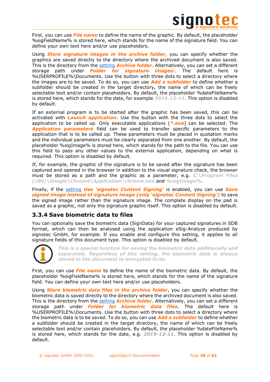

First, you can use *File name* to define the name of the graphic. By default, the placeholder %sigFieldName% is stored here, which stands for the name of the signature field. You can define your own text here and/or use placeholders.

Using *Store signature images in the archive folder*, you can specify whether the graphics are saved directly to the directory where the archived document is also saved. This is the directory from the [setting](#page-43-1) *Archive folder*. Alternatively, you can set a different storage path under *Folder for signature images:*. The default here is %USERPROFILE%\Documents. Use the button with three dots to select a directory where the images are to be saved. To do so, you can use *Add a subfolder* to define whether a subfolder should be created in the target directory, the name of which can be freely selectable text and/or contain placeholders. By default, the placeholder %dateFileName% is stored here, which stands for the date, for example *2019-12-11*. This option is disabled by default.

If an external program is to be started after the graphic has been saved, this can be activated with *Launch application*. Use the button with the three dots to select the application to be called up. Only executable applications (*\*.exe*) can be selected. The *Application parameters* field can be used to transfer specific parameters to the application that is to be called up. These parameters must be placed in quotation marks and the individual parameters must be clearly separated from one another. By default, the placeholder %sigImage% is stored here, which stands for the path to the file. You can use this field to pass any other values to the external application, depending on what is required. This option is disabled by default.

If, for example, the graphic of the signature is to be saved after the signature has been captured and opened in the browser in addition to the visual signature check, the browser must be stored as a path and the graphic as a parameter, e.g. *C:\Program Files (x86)\Google\Chrome\Application\chrome.exe* and *%sigImage%*.

Finally, if the [setting](file:///C:/Users/matze/Library/Group%20Containers/G69SCX94XU.DRACOON/Library/Application%20Support/DRACOON/Volumes/TypeTime%20–%20DRACOON/TT-Server/Bestandskunden/Signotec%20GmbH/40867/Quelle/%23_%22signotec_Content_Signing) *Use 'signotec Content Signing'* is enabled, you can use *Save signed image instead of signature image (only 'signotec Content Signing')* to save the signed image rather than the signature image. The complete display on the pad is saved as a graphic, not only the signature graphic itself. This option is disabled by default.

# <span id="page-37-0"></span>**3.3.4 Save biometric data to files**

You can optionally save the biometric data (SignData) for your captured signatures in SDB format, which can then be analysed using the application eSig-Analyze produced by signotec GmbH, for example. If you enable and configure this setting, it applies to all signature fields of this document type. This option is disabled by default.



*This is a special function for saving the biometric data additionally and separately. Regardless of this setting, the biometric data is always stored in the document in encrypted form.*

First, you can use *File name* to define the name of the biometric data. By default, the placeholder %sigFieldName% is stored here, which stands for the name of the signature field. You can define your own text here and/or use placeholders.

Using *Store biometric data files in the archive folder*, you can specify whether the biometric data is saved directly to the directory where the archived document is also saved. This is the directory from the [setting](#page-43-1) *Archive folder*. Alternatively, you can set a different storage path under *Folder for biometric data files*. The default here is %USERPROFILE%\Documents. Use the button with three dots to select a directory where the biometric data is to be saved. To do so, you can use *Add a subfolder* to define whether a subfolder should be created in the target directory, the name of which can be freely selectable text and/or contain placeholders. By default, the placeholder %dateFileName% is stored here, which stands for the date, e.g. *2019-12-11*. This option is disabled by default.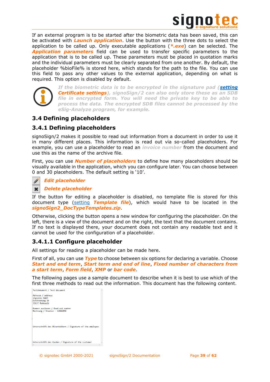

If an external program is to be started after the biometric data has been saved, this can be activated with *Launch application*. Use the button with the three dots to select the application to be called up. Only executable applications (*\*.exe*) can be selected. The *Application parameters* field can be used to transfer specific parameters to the application that is to be called up. These parameters must be placed in quotation marks and the individual parameters must be clearly separated from one another. By default, the placeholder %bioFile% is stored here, which stands for the path to the file. You can use this field to pass any other values to the external application, depending on what is required. This option is disabled by default.



*If the biometric data is to be encrypted in the signature pad [\(setting](#page-11-0) Certificate settings), signoSign/2 can also only store these as an SDB file in encrypted form. You will need the private key to be able to process the data. The encrypted SDB files cannot be processed by the eSig-Analyze program, for example.*

# <span id="page-38-0"></span>**3.4 Defining placeholders**

# <span id="page-38-1"></span>**3.4.1 Defining placeholders**

signoSign/2 makes it possible to read out information from a document in order to use it in many different places. This information is read out via so-called placeholders. For example, you can use a placeholder to read an *invoice number* from the document and use this as the name of the archive file.

First, you can use *Number of placeholders* to define how many placeholders should be visually available in the application, which you can configure later. You can choose between 0 and 30 placeholders. The default setting is '10'.

## *Edit placeholder*



### *Delete placeholder*

If the button for editing a placeholder is disabled, no template file is stored for this document type [\(setting](#page-24-0) *Template file*), which would have to be located in the *signoSign2\_DocTypeTemplates.zip*.

Otherwise, clicking the button opens a new window for configuring the placeholder. On the left, there is a view of the document and on the right, the text that the document contains. If no text is displayed there, your document does not contain any readable text and it cannot be used for the configuration of a placeholder.

# <span id="page-38-2"></span>**3.4.1.1 Configure placeholder**

All settings for reading a placeholder can be made here.

First of all, you can use *Type* to choose between six options for declaring a variable. Choose *Start and end term*, *Start term and end of line*, *Fixed number of characters from a start term*, *Form field*, *XMP* or *bar code*.

The following pages use a sample document to describe when it is best to use which of the first three methods to read out the information. This document has the following content.

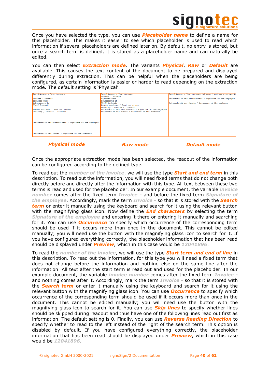

Once you have selected the type, you can use *Placeholder name* to define a name for this placeholder. This makes it easier to see which placeholder is used to read which information if several placeholders are defined later on. By default, no entry is stored, but once a search term is defined, it is stored as a placeholder name and can naturally be edited.

You can then select *Extraction mode*. The variants *Physical*, *Raw* or *Default* are available. This causes the text content of the document to be prepared and displayed differently during extraction. This can be helpful when the placeholders are being configured, as certain information is easier or harder to read depending on the extraction mode. The default setting is 'Physical'.

| Testdokument / Test document                              | Testdokument / Test document                              | Testdokument / Test document Adresse / address signotec Gm |
|-----------------------------------------------------------|-----------------------------------------------------------|------------------------------------------------------------|
|                                                           | Adresse / address                                         |                                                            |
| Adresse / address                                         | signotec GmbH                                             | Unterschrift des Mitarbeiters / Signature of the employee  |
| signotec GmbH                                             | Schützenweg 1b                                            |                                                            |
| Schützenweg 1b                                            | 31637 Rodewald                                            | Unterschrift des Kunden / Signature of the customer        |
| 31637 Rodewald                                            | Nummer auslesen / Read out number                         |                                                            |
|                                                           | Rechnung / Invoice - 12041896                             |                                                            |
| Nummer auslesen / Read out number                         | Unterschrift des Mitarbeiters / Signature of the employee |                                                            |
| Rechnung / Invoice - 12041896                             | Unterschrift des Kunden / Signature of the customer       |                                                            |
|                                                           |                                                           |                                                            |
|                                                           |                                                           |                                                            |
|                                                           |                                                           |                                                            |
|                                                           |                                                           |                                                            |
| Unterschrift des Mitarbeiters / Signature of the employee |                                                           |                                                            |
|                                                           |                                                           |                                                            |
|                                                           |                                                           |                                                            |
|                                                           |                                                           |                                                            |
|                                                           |                                                           |                                                            |
| Unterschrift des Kunden / Signature of the customer       |                                                           |                                                            |
|                                                           |                                                           |                                                            |
|                                                           |                                                           |                                                            |

*Physical mode Raw mode Default mode*

Once the appropriate extraction mode has been selected, the readout of the information can be configured according to the defined type.

To read out the *number of the invoice*, we will use the type *Start and end term* in this description. To read out the information, you will need fixed terms that do not change both directly before and directly after the information with this type. All text between these two terms is read and used for the placeholder. In our example document, the variable *invoice number* comes after the fixed term *Invoice -* and before the fixed term *Signature of the employee*. Accordingly, mark the term *Invoice -* so that it is stored with the *Search term* or enter it manually using the keyboard and search for it using the relevant button with the magnifying glass icon. Now define the *End characters* by selecting the term *Signature of the employee* and entering it there or entering it manually and searching for it. You can use *Occurrence* to specify which occurrence of the corresponding term should be used if it occurs more than once in the document. This cannot be edited manually; you will need use the button with the magnifying glass icon to search for it. If you have configured everything correctly, the placeholder information that has been read should be displayed under *Preview*, which in this case would be *12041896*.

To read the *number of the invoice*, we will use the type *Start term and end of line* in this description. To read out the information, for this type you will need a fixed term that does not change before the information and nothing else on the same line after the information. All text after the start term is read out and used for the placeholder. In our example document, the variable *invoice number* comes after the fixed term *Invoice*  and nothing comes after it. Accordingly, mark the term *Invoice -* so that it is stored with the *Search term* or enter it manually using the keyboard and search for it using the relevant button with the magnifying glass icon. You can use *Occurrence* to specify which occurrence of the corresponding term should be used if it occurs more than once in the document. This cannot be edited manually; you will need use the button with the magnifying glass icon to search for it. You can use *Skip lines* to specify whether lines should be skipped during readout and thus have one of the following lines read out first as information. The default setting is 0. Finally, you can use *Reverse Reading Direction* to specify whether to read to the left instead of the right of the search term. This option is disabled by default. If you have configured everything correctly, the placeholder information that has been read should be displayed under *Preview*, which in this case would be *12041896*.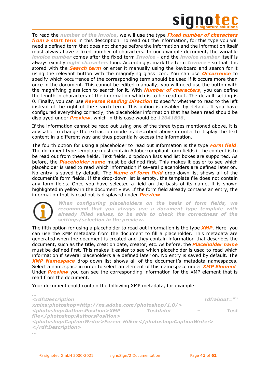

To read the *number of the invoice*, we will use the type *Fixed number of characters from a start term* in this description. To read out the information, for this type you will need a defined term that does not change before the information and the information itself must always have a fixed number of characters. In our example document, the variable *invoice number* comes after the fixed term *Invoice -* and the *invoice number* itself is always exactly *eight characters* long. Accordingly, mark the term *Invoice -* so that it is stored with the *Search term* or enter it manually using the keyboard and search for it using the relevant button with the magnifying glass icon. You can use *Occurrence* to specify which occurrence of the corresponding term should be used if it occurs more than once in the document. This cannot be edited manually; you will need use the button with the magnifying glass icon to search for it. With *Number of characters*, you can define the length in characters of the information which is to be read out. The default setting is 0. Finally, you can use *Reverse Reading Direction* to specify whether to read to the left instead of the right of the search term. This option is disabled by default. If you have configured everything correctly, the placeholder information that has been read should be displayed under *Preview*, which in this case would be *12041896*.

If the information cannot be read out using one of the three types mentioned above, it is advisable to change the extraction mode as described above in order to display the text content in a different way and thus potentially access the information.

The fourth option for using a placeholder to read out information is the type *Form field*. The document type template must contain Adobe-compliant form fields if the content is to be read out from these fields. Text fields, dropdown lists and list boxes are supported. As before, the *Placeholder name* must be defined first. This makes it easier to see which placeholder is used to read which information if several placeholders are defined later on. No entry is saved by default. The *Name of form field* drop-down list shows all of the document's form fields. If the drop-down list is empty, the template file does not contain any form fields. Once you have selected a field on the basis of its name, it is shown highlighted in yellow in the document view. If the form field already contains an entry, the information that is read out is displayed under *Preview*.



*…*

*When configuring placeholders on the basis of form fields, we recommend that you always use a document type template with already filled values, to be able to check the correctness of the settings/selection in the preview.*

The fifth option for using a placeholder to read out information is the type *XMP*. Here, you can use the XMP metadata from the document to fill a placeholder. This metadata are generated when the document is created and they contain information that describes the document, such as the title, creation date, creator, etc. As before, the *Placeholder name* must be defined first. This makes it easier to see which placeholder is used to read which information if several placeholders are defined later on. No entry is saved by default. The *XMP Namespace* drop-down list shows all of the document's metadata namespaces. Select a namespace in order to select an element of this namespace under *XMP Element*. Under *Preview* you can see the corresponding information for the XMP element that is read from the document.

Your document could contain the following XMP metadata, for example:

```
<rdf:Description rdf:about="" 
xmlns:photoshop=http://ns.adobe.com/photoshop/1.0/>
<photoshop:AuthorsPosition>XMP Testdatei – Test 
file</photoshop:AuthorsPosition>
<photoshop:CaptionWriter>Ferenc Hilker</photoshop:CaptionWriter>
</rdf:Description>
…
```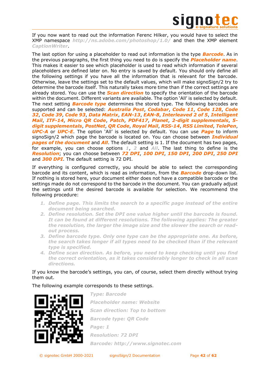

If you now want to read out the information Ferenc Hilker, you would have to select the XMP namespace *http://ns.adobe.com/photoshop/1.0/* and then the XMP element *CaptionWriter*.

The last option for using a placeholder to read out information is the type *Barcode*. As in the previous paragraphs, the first thing you need to do is specify the *Placeholder name*. This makes it easier to see which placeholder is used to read which information if several placeholders are defined later on. No entry is saved by default. You should only define all the following settings if you have all the information that is relevant for the barcode. Otherwise, leave the settings set to the default values, which will make signoSign/2 try to determine the barcode itself. This naturally takes more time than if the correct settings are already stored. You can use the *Scan direction* to specify the orientation of the barcode within the document. Different variants are available. The option 'All' is selected by default. The next setting *Barcode type* determines the stored type. The following barcodes are supported and can be selected: *Australia Post*, *Codabar*, *Code 11*, *Code 128*, *Code 32*, *Code 39*, *Code 93*, *Data Matrix*, *EAN-13*, *EAN-8*, *Interleaved 2 of 5*, *Intelligent Mail*, *ITF-14*, *Micro QR Code*, *Patch*, *PDF417*, *Planet*, *2-digit supplementals*, *5 digit supplementals*, *PostNet*, *QR Code*, *Royal Mail*, *RSS-14*, *RSS Limited*, *TelePen*, *UPC-A* or *UPC-E*. The option 'All' is selected by default. You can use *Page* to inform signoSign/2 which page the barcode is located on. You can choose between *Individual pages of the document* and *All*. The default setting is 1. If the document has two pages, for example, you can choose options *1*, *2* and *All*. The last thing to define is the *Resolution*; you can choose between *72 DPI*, *100 DPI*, *150 DPI*, *200 DPI*, *250 DPI* and *300 DPI*. The default setting is 72 DPI.

If everything is configured correctly, you should be able to select the corresponding barcode and its content, which is read as information, from the *Barcode* drop-down list. If nothing is stored here, your document either does not have a compatible barcode or the settings made do not correspond to the barcode in the document. You can gradually adjust the settings until the desired barcode is available for selection. We recommend the following procedure:

- *1. Define page. This limits the search to a specific page instead of the entire document being searched.*
- *2. Define resolution. Set the DPI one value higher until the barcode is found. It can be found at different resolutions. The following applies: The greater the resolution, the larger the image size and the slower the search or readout process.*
- *3. Define barcode type. Only one type can be the appropriate one. As before, the search takes longer if all types need to be checked than if the relevant type is specified.*
- *4. Define scan direction. As before, you need to keep checking until you find the correct orientation, as it takes considerably longer to check in all scan directions.*

### If you know the barcode's settings, you can, of course, select them directly without trying them out.

The following example corresponds to these settings.



*Type: Barcode Placeholder name: Website Scan direction: Top to bottom Barcode type: QR Code Page: 1 Resolution: 72 DPI Barcode: http://www.signotec.com*

© signotec GmbH 2000-2021 signoSign/2 Documentation Page **42** of **62**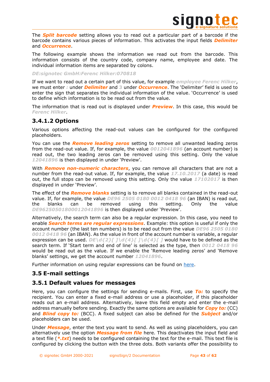

The *Split barcode* setting allows you to read out a particular part of a barcode if the barcode contains various pieces of information. This activates the input fields *Delimiter* and *Occurrence*.

The following example shows the information we read out from the barcode. This information consists of the country code, company name, employee and date. The individual information items are separated by colons.

### *DE:signotec GmbH:Ferenc Hilker:070818*

If we want to read out a certain part of this value, for example *employee Ferenc Hilker*, we must enter *:* under *Delimiter* and **3** under *Occurrence*. The 'Delimiter' field is used to enter the sign that separates the individual information of the value. 'Occurrence' is used to define which information is to be read out from the value.

The information that is read out is displayed under *Preview*. In this case, this would be *Ferenc Hilker*.

# <span id="page-42-0"></span>**3.4.1.2 Options**

Various options affecting the read-out values can be configured for the configured placeholders.

You can use the *Remove leading zeros* setting to remove all unwanted leading zeros from the read-out value. If, for example, the value *0012041896* (an account number) is read out, the two leading zeros can be removed using this setting. Only the value *12041896* is then displayed in under 'Preview'.

With *Remove non-numeric characters*, you can remove all characters that are not a number from the read-out value. If, for example, the value *17.10.2017* (a date) is read out, the full stops can be removed using this setting. Only the value *17102017* is then displayed in under 'Preview'.

The effect of the *Remove blanks* setting is to remove all blanks contained in the read-out value. If, for example, the value *DE96 2505 0180 0012 0418 96* (an IBAN) is read out, the blanks can be removed using this setting. Only the value *DE96250501800012041896* is then displayed under 'Preview'.

Alternatively, the search term can also be a regular expression. In this case, you need to enable *Search terms are regular expressions*. Example: this option is useful if only the account number (the last ten numbers) is to be read out from the value *DE96 2505 0180 0012 0418 96* (an IBAN). As the value in front of the account number is variable, a regular expression can be used. *DE\d{2}[]\d{4}[]\d{4}[]* would have to be defined as the search term. If 'Start term and end of line' is selected as the type, then *0012 0418 96* would be read out as the value. If we enable the 'Remove leading zeros' and 'Remove blanks' settings, we get the account number *12041896*.

Further information on using regular expressions can be found on [here.](http://www.regexlib.com/)

# <span id="page-42-1"></span>**3.5 E-mail settings**

# <span id="page-42-2"></span>**3.5.1 Default values for messages**

Here, you can configure the settings for sending e-mails. First, use *To:* to specify the recipient. You can enter a fixed e-mail address or use a placeholder, if this placeholder reads out an e-mail address. Alternatively, leave this field empty and enter the e-mail address manually before sending. Exactly the same options are available for *Copy to:* (CC) and *Blind copy to:* (BCC). A fixed subject can also be defined for the *Subject* and/or placeholders can be used.

Under *Message*, enter the text you want to send. As well as using placeholders, you can alternatively use the option *Message from file* here. This deactivates the input field and a text file (*\*.txt*) needs to be configured containing the text for the e-mail. This text file is configured by clicking the button with the three dots. Both variants offer the possibility to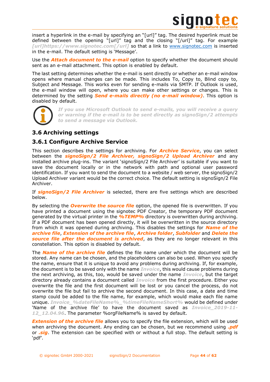

insert a hyperlink in the e-mail by specifying an "[url]" tag. The desired hyperlink must be defined between the opening "[url]" tag and the closing "[/url]" tag. For example *[url]https://www.signotec.com[/url]* so that a link to [www.signotec.com](http://www.signotec.com/) is inserted in the e-mail. The default setting is 'Message'.

Use the *Attach document to the e-mail* option to specify whether the document should sent as an e-mail attachment. This option is enabled by default.

The last setting determines whether the e-mail is sent directly or whether an e-mail window opens where manual changes can be made. This includes To, Copy to, Blind copy to, Subject and Message. This works even for sending e-mails via SMTP. If Outlook is used, the e-mail window will open, where you can make other settings or changes. This is determined by the setting *Send e-mails directly (no e-mail window)*. This option is disabled by default.



*If you use Microsoft Outlook to send e-mails, you will receive a query or warning if the e-mail is to be sent directly as signoSign/2 attempts to send a message via Outlook.*

# <span id="page-43-0"></span>**3.6 Archiving settings**

# <span id="page-43-1"></span>**3.6.1 Configure Archive Service**

This section describes the settings for archiving. For *Archive Service*, you can select between the *signoSign/2 File Archiver, signoSign/2 Upload Archiver* and any installed archive plug-ins. The variant 'signoSign/2 File Archiver' is suitable if you want to save the document locally or in the network with path and optional user password identification. If you want to send the document to a website / web server, the signoSign/2 Upload Archiver variant would be the correct choice. The default setting is signoSign/2 File Archiver.

If *signoSign/2 File Archiver* is selected, there are five settings which are described below.

By selecting the *Overwrite the source file* option, the opened file is overwritten. If you have printed a document using the signotec PDF Creator, the temporary PDF document generated by the virtual printer in the *%TEMP%* directory is overwritten during archiving. If a PDF document has been opened directly, it will be overwritten in the source directory from which it was opened during archiving. This disables the settings for *Name of the archive file*, *Extension of the archive file*, *Archive folder*, *Subfolder* and *Delete the source file after the document is archived*, as they are no longer relevant in this constellation. This option is disabled by default.

The *Name of the archive file* defines the file name under which the document will be stored. Any name can be chosen, and the placeholders can also be used. When you specify the name, ensure that it is unique to avoid any problems during archiving. If, for example, the document is to be saved only with the name *Invoice*, this would cause problems during the next archiving, as this, too, would be saved under the name *Invoice*, but the target directory already contains a document called *Invoice* from the first procedure. Either you overwrite the file and the first document will be lost or you cancel the process, do not overwrite the file but fail to archive the second document. In this case, a date and time stamp could be added to the file name, for example, which would make each file name unique. *Invoice\_%dateFileName%\_%timeFileNameShort%* would be defined under 'Name of the archive file' to have the document saved as *Invoice\_2019-11- 12\_12.04.96*. The parameter %orgFileName% is saved by default.

**Extension of the archive file** allows you to specify the file extension, which will be used when archiving the document. Any ending can be chosen, but we recommend using *.pdf* or *.sig*. The extension can be specified with or without a full stop. The default setting is 'pdf'.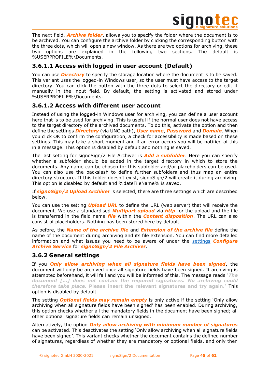

The next field, *Archive folder*, allows you to specify the folder where the document is to be archived. You can configure the archive folder by clicking the corresponding button with the three dots, which will open a new window. As there are two options for archiving, these two options are explained in the following two sections. The default is %USERPROFILE%\Documents.

# <span id="page-44-0"></span>**3.6.1.1 Access with logged in user account (Default)**

You can use *Directory* to specify the storage location where the document is to be saved. This variant uses the logged-in Windows user, so the user must have access to the target directory. You can click the button with the three dots to select the directory or edit it manually in the input field. By default, the setting is activated and stored under %USERPROFILE%\Documents.

# <span id="page-44-1"></span>**3.6.1.2 Access with different user account**

Instead of using the logged-in Windows user for archiving, you can define a user account here that is to be used for archiving. This is useful if the normal user does not have access to the target directory of the archived documents. To do this, activate the option and then define the settings *Directory* (via UNC path), *User name*, *Password* and *Domain*. When you click OK to confirm the configuration, a check for accessibility is made based on these settings. This may take a short moment and if an error occurs you will be notified of this in a message. This option is disabled by default and nothing is saved.

The last setting for signoSign/2 File Archiver is *Add a subfolder*. Here you can specify whether a subfolder should be added in the target directory in which to store the documents. Any name can be chosen for this subfolder and/or placeholders can be used. You can also use the backslash to define further subfolders and thus map an entire directory structure. If this folder doesn't exist, signoSign/2 will create it during archiving. This option is disabled by default and %dateFileName% is saved.

If *signoSign/2 Upload Archiver* is selected, there are three settings which are described below.

You can use the setting *Upload URL* to define the URL (web server) that will receive the document. We use a standardised *Multipart upload* via *http* for the upload and the file is transferred in the field name *file* within the *Content disposition*. The URL can also consist of placeholders. Nothing has been stored here by default.

As before, the *Name of the archive file* and *Extension of the archive file* define the name of the document during archiving and its file extension. You can find more detailed information and what issues you need to be aware of under the [settings](#page-43-1) *Configure Archive Service* for *signoSign/2 File Archiver*.

# <span id="page-44-2"></span>**3.6.2 General settings**

If you *Only allow archiving when all signature fields have been signed*, the document will only be archived once all signature fields have been signed. If archiving is attempted beforehand, it will fail and you will be informed of this. The message reads *'The document […] does not contain the required signatures. No archiving could therefore take place.* **Please insert the relevant signatures and try again.'** This option is disabled by default.

The setting *Optional fields may remain empty* is only active if the setting 'Only allow archiving when all signature fields have been signed' has been enabled. During archiving, this option checks whether all the mandatory fields in the document have been signed; all other optional signature fields can remain unsigned.

Alternatively, the option *Only allow archiving with minimum number of signatures* can be activated. This deactivates the setting 'Only allow archiving when all signature fields have been signed'. This variant checks whether the document contains the defined number of signatures, regardless of whether they are mandatory or optional fields, and only then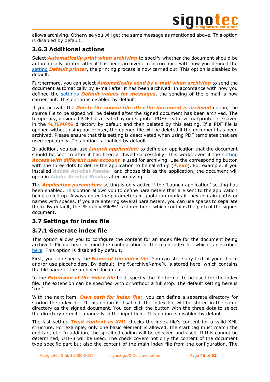

allows archiving. Otherwise you will get the same message as mentioned above. This option is disabled by default.

# <span id="page-45-0"></span>**3.6.3 Additional actions**

Select *Automatically print when archiving* to specify whether the document should be automatically printed after it has been archived. In accordance with how you defined the [setting](#page-29-2) *Default printer*, the printing process is now carried out. This option is disabled by default.

Furthermore, you can select *Automatically send by e-mail when archiving* to send the document automatically by e-mail after it has been archived. In accordance with how you defined the [settings](#page-42-2) *Default values for messages*, the sending of the e-mail is now carried out. This option is disabled by default.

If you activate the *Delete the source file after the document is archived* option, the source file to be signed will be deleted after the signed document has been archived. The temporary, unsigned PDF files created by our signotec PDF Creator virtual printer are saved in the *%TEMP%* directory by default and then deleted by this setting. If a PDF file is opened without using our printer, the opened file will be deleted if the document has been archived. Please ensure that this setting is deactivated when using PDF templates that are used repeatedly. This option is enabled by default.

In addition, you can use *Launch application:* to define an application that the document should be sent to after it has been archived successfully. This works even if the [setting](#page-44-1) *Access with different user account* is used for archiving. Use the corresponding button with the three dots to define the application to be called up (*\*.exe*). For example, if you installed *Adobe Acrobat Reader* and choose this as the application, the document will open in *Adobe Acrobat Reader* after archiving.

The *Application parameters* setting is only active if the 'Launch application' setting has been enabled. This option allows you to define parameters that are sent to the application being called up. Always enter the parameters in quotation marks if they contain paths or names with spaces. If you are entering several parameters, you can use spaces to separate them. By default, the '%archiveFile%' is stored here, which contains the path of the signed document.

# <span id="page-45-1"></span>**3.7 Settings for index file**

# <span id="page-45-2"></span>**3.7.1 Generate index file**

This option allows you to configure the content for an index file for the document being archived. Please bear in mind the configuration of the main index file which is described [here.](#page-22-1) This option is disabled by default.

First, you can specify the *Name of the index file*. You can store any text of your choice and/or use placeholders. By default, the %archiveName% is stored here, which contains the file name of the archived document.

In the *Extension of the index file* field, specify the file format to be used for the index file. The extension can be specified with or without a full stop. The default setting here is 'xml'.

With the next item, *Own path for index file:*, you can define a separate directory for storing the index file. If this option is disabled, the index file will be stored in the same directory as the signed document. You can click the button with the three dots to select the directory or edit it manually in the input field. This option is disabled by default.

The last setting *Treat content as XML* checks the index file's content for a valid XML structure. For example, only one basic element is allowed, the start tag must match the end tag, etc. In addition, the specified coding will be checked and used. If this cannot be determined, UTF-8 will be used. The check covers not only the content of the document type-specific part but also the content of the main index file from the configuration. The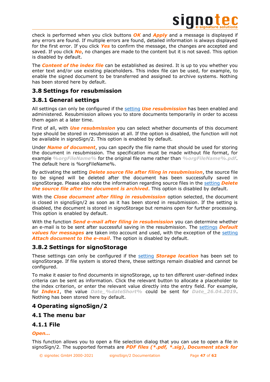

check is performed when you click buttons *OK* and *Apply* and a message is displayed if any errors are found. If multiple errors are found, detailed information is always displayed for the first error. If you click *Yes* to confirm the message, the changes are accepted and saved. If you click *No*, no changes are made to the content but it is not saved. This option is disabled by default.

The *Content of the index file* can be established as desired. It is up to you whether you enter text and/or use existing placeholders. This index file can be used, for example, to enable the signed document to be transferred and assigned to archive systems. Nothing has been stored here by default.

# <span id="page-46-0"></span>**3.8 Settings for resubmission**

# <span id="page-46-1"></span>**3.8.1 General settings**

All settings can only be configured if the [setting](#page-21-1) *Use resubmission* has been enabled and administered. Resubmission allows you to store documents temporarily in order to access them again at a later time.

First of all, with *Use resubmission* you can select whether documents of this document type should be stored in resubmission at all. If the option is disabled, the function will not be available in signoSign/2. This option is enabled by default.

Under *Name of document*, you can specify the file name that should be used for storing the document in resubmission. The specification must be made without file format, for example *%orgFileName%* for the original file name rather than *%orgFileName%.pdf*. The default here is %orgFileName%.

By activating the setting *Delete source file after filing in resubmission*, the source file to be signed will be deleted after the document has been successfully saved in signoStorage. Please also note the information regarding source files in the [setting](#page-45-0) *Delete the source file after the document is archived*. This option is disabled by default.

With the *Close document after filing in resubmission* option selected, the document is closed in signoSign/2 as soon as it has been stored in resubmission. If the setting is disabled, the document is stored in signoStorage but remains open for further processing. This option is enabled by default.

With the function *Send e-mail after filing in resubmission* you can determine whether an e-mail is to be sent after successful saving in the resubmission. The [settings](#page-42-2) *Default values for messages* are taken into account and used, with the exception of the [setting](#page-42-2) *Attach document to the e-mail*. The option is disabled by default.

# <span id="page-46-2"></span>**3.8.2 Settings for signoStorage**

These settings can only be configured if the [setting](#page-21-1) *Storage location* has been set to signoStorage. If file system is stored there, these settings remain disabled and cannot be configured.

To make it easier to find documents in signoStorage, up to ten different user-defined index criteria can be sent as information. Click the relevant button to allocate a placeholder to the index criterion, or enter the relevant value directly into the entry field. For example, for *Index1*, the value *Date\_%dateShort%* could be sent for *Date\_26.04.2019*. Nothing has been stored here by default.

# <span id="page-46-3"></span>**4 Operating signoSign/2**

# <span id="page-46-4"></span>**4.1 The menu bar**

# <span id="page-46-5"></span>**4.1.1 File**

# *Open...*

This function allows you to open a file selection dialog that you can use to open a file in signoSign/2. The supported formats are *PDF files (\*.pdf, \*.sig)*, *Document stack for*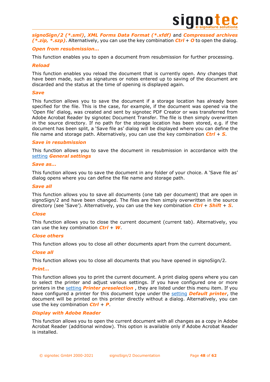

*signoSign/2 (\*.sml)*, *XML Forms Data Format (\*.xfdf)* and *Compressed archives (\*.zip, \*.szp)*. Alternatively, you can use the key combination *Ctrl* + *O* to open the dialog.

### *Open from resubmission...*

This function enables you to open a document from resubmission for further processing.

### *Reload*

This function enables you reload the document that is currently open. Any changes that have been made, such as signatures or notes entered up to saving of the document are discarded and the status at the time of opening is displayed again.

### *Save*

This function allows you to save the document if a storage location has already been specified for the file. This is the case, for example, if the document was opened via the 'Open file' dialog, was created and sent by signotec PDF Creator or was transferred from Adobe Acrobat Reader by signotec Document Transfer. The file is then simply overwritten in the source directory. If no path for the storage location has been stored, e.g. if the document has been split, a 'Save file as' dialog will be displayed where you can define the file name and storage path. Alternatively, you can use the key combination *Ctrl* + *S*.

### *Save in resubmission*

This function allows you to save the document in resubmission in accordance with the [setting](#page-46-1) *General settings*

### *Save as...*

This function allows you to save the document in any folder of your choice. A 'Save file as' dialog opens where you can define the file name and storage path.

### *Save all*

This function allows you to save all documents (one tab per document) that are open in signoSign/2 and have been changed. The files are then simply overwritten in the source directory (see 'Save'). Alternatively, you can use the key combination *Ctrl* + *Shift* + *S*.

### *Close*

This function allows you to close the current document (current tab). Alternatively, you can use the key combination *Ctrl* + *W*.

### *Close others*

This function allows you to close all other documents apart from the current document.

### *Close all*

This function allows you to close all documents that you have opened in signoSign/2.

### *Print...*

This function allows you to print the current document. A print dialog opens where you can to select the printer and adjust various settings. If you have configured one or more printers in the [setting](#page-8-3) *Printer preselection* , they are listed under this menu item. If you have configured a printer for this document type under the [setting](#page-29-2) *Default printer*, the document will be printed on this printer directly without a dialog. Alternatively, you can use the key combination *Ctrl* + *P*.

### *Display with Adobe Reader*

This function allows you to open the current document with all changes as a copy in Adobe Acrobat Reader (additional window). This option is available only if Adobe Acrobat Reader is installed.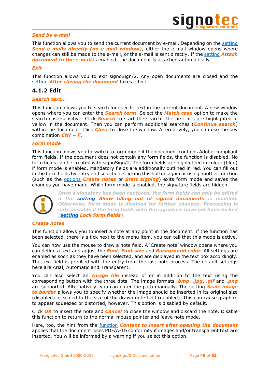

### *Send by e-mail*

This function allows you to send the current document by e-mail. Depending on the [setting](#page-42-2) **Send e-mails directly (no e-mail window)**, either the e-mail window opens where changes can still be made to the e-mail, or the e-mail is sent directly. If the [setting](#page-42-2) *Attach document to the e-mail* is enabled, the document is attached automatically.

### *Exit*

This function allows you to exit signoSign/2. Any open documents are closed and the [setting](#page-25-1) *After closing the document* takes effect.

# <span id="page-48-0"></span>**4.1.2 Edit**

### *Search text...*

This function allows you to search for specific text in the current document. A new window opens where you can enter the *Search term*. Select the *Match case* option to make the search case-sensitive. Click *Search* to start the search. The first hits are highlighted in yellow in the document. Then you can perform additional searches (*Continue search*) within the document. Click *Close* to close the window. Alternatively, you can use the key combination *Ctrl* + *F*.

### *Form mode*

This function allows you to switch to form mode if the document contains Adobe-compliant form fields. If the document does not contain any form fields, the function is disabled. No form fields can be created with signoSign/2. The form fields are highlighted in colour (blue) if form mode is enabled. Mandatory fields are additionally outlined in red. You can fill out in the form fields by entry and selection. Clicking this button again or using another function (such as the [options](#page-48-0) *Create notes* or *Start signing*) exits form mode and saves the changes you have made. While form mode is enabled, the signature fields are hidden.



*Once a signatory has been captured, the form fields can only be edited if the [setting](#page-25-1) Allow filling out of signed documents is enabled. Otherwise, form mode is disabled for further changes. Processing is only possible if the form fields with the signature have not been locked [\(setting](#page-30-2) Lock form fields).*

### *Create notes*

This function allows you to insert a note at any point in the document. If the function has been selected, there is a tick next to the menu item, you can tell that this mode is active.

You can now use the mouse to draw a note field. A 'Create note' window opens where you can define a text and adjust the *Font*, *Font size* and *Background color*. All settings are enabled as soon as they have been selected, and are displayed in the text box accordingly. The text field is prefilled with the entry from the last note process. The default settings here are Arial, Automatic and Transparent.

You can also select an *Image file* instead of or in addition to the text using the corresponding button with the three dots. The image formats *.bmp*, *.jpg*, *.gif* and *.png* are supported. Alternatively, you can enter the path manually. The setting *Scale image to border* allows you to specify whether the image should be inserted in its original size (disabled) or scaled to the size of the drawn note field (enabled). This can cause graphics to appear squeezed or distorted, however. This option is disabled by default.

Click *OK* to insert the note and *Cancel* to close the window and discard the note. Disable this function to return to the normal mouse pointer and leave note mode.

Here, too, the hint from the [function](#page-27-0) *Content to insert after opening the document* applies that the document loses PDF/A-1b conformity if images and/or transparent text are inserted. You will be informed by a warning if you select this option.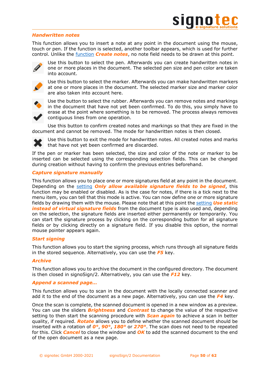

### *Handwritten notes*

This function allows you to insert a note at any point in the document using the mouse, touch or pen. If the function is selected, another toolbar appears, which is used for further control. Unlike the [function](#page-48-0) *Create notes*, no note field needs to be drawn at this point.



Use this button to select the pen. Afterwards you can create handwritten notes in one or more places in the document. The selected pen size and pen color are taken into account.



Use this button to select the marker. Afterwards you can make handwritten markers at one or more places in the document. The selected marker size and marker color are also taken into account here.



Use the button to select the rubber. Afterwards you can remove notes and markings in the document that have not yet been confirmed. To do this, you simply have to erase at the point where something is to be removed. The process always removes contiguous lines from one operation.

Use this button to confirm created notes and markings so that they are fixed in the document and cannot be removed. The mode for handwritten notes is then closed.



If the pen or marker has been selected, the size and color of the note or marker to be inserted can be selected using the corresponding selection fields. This can be changed during creation without having to confirm the previous entries beforehand.

### *Capture signature manually*

This function allows you to place one or more signatures field at any point in the document. Depending on the [setting](#page-25-1) *Only allow available signature fields to be signed*, this function may be enabled or disabled. As is the case for notes, if there is a tick next to the menu item, you can tell that this mode is active. You can now define one or more signature fields by drawing them with the mouse. Please note that at this point the [setting](#page-30-2) *Use static instead of virtual signature fields* from the document type is also used and, depending on the selection, the signature fields are inserted either permanently or temporarily. You can start the signature process by clicking on the corresponding button for all signature fields or by clicking directly on a signature field. If you disable this option, the normal mouse pointer appears again.

### *Start signing*

This function allows you to start the signing process, which runs through all signature fields in the stored sequence. Alternatively, you can use the *F5* key.

### *Archive*

This function allows you to archive the document in the configured directory. The document is then closed in signoSign/2. Alternatively, you can use the *F12* key.

### *Append a scanned page…*

This function allows you to scan in the document with the locally connected scanner and add it to the end of the document as a new page. Alternatively, you can use the *F4* key.

Once the scan is complete, the scanned document is opened in a new window as a preview. You can use the sliders *Brightness* and *Contrast* to change the value of the respective setting to then start the scanning procedure with *Scan again* to achieve a scan in better quality, if required. *Rotate* allows you to define whether the scanned document should be inserted with a rotation of *0°*, *90°*, *180°* or *270°*. The scan does not need to be repeated for this. Click *Cancel* to close the window and *OK* to add the scanned document to the end of the open document as a new page.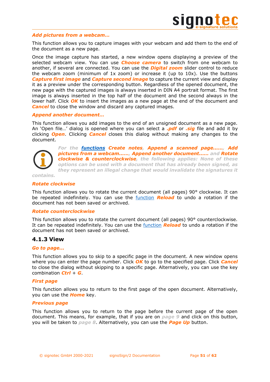

### *Add pictures from a webcam…*

This function allows you to capture images with your webcam and add them to the end of the document as a new page.

Once the image capture has started, a new window opens displaying a preview of the selected webcam view. You can use *Choose camera* to switch from one webcam to another, if several are connected. You can use the *Digital zoom* slider control to reduce the webcam zoom (minimum of 1x zoom) or increase it (up to 10x). Use the buttons *Capture first image* and *Capture second image* to capture the current view and display it as a preview under the corresponding button. Regardless of the opened document, the new page with the captured images is always inserted in DIN A4 portrait format. The first image is always inserted in the top half of the document and the second always in the lower half. Click **OK** to insert the images as a new page at the end of the document and *Cancel* to close the window and discard any captured images.

### *Append another document…*

This function allows you add images to the end of an unsigned document as a new page. An 'Open file…' dialog is opened where you can select a *.pdf* or *.sig* file and add it by clicking *Open*. Clicking *Cancel* closes this dialog without making any changes to the document.



*For the [functions](#page-48-0) Create notes, Append a scanned page...…, Add pictures from a webcam...…, Append another document...… and Rotate clockwise & counterclockwise, the following applies: None of these options can be used with a document that has already been signed, as they represent an illegal change that would invalidate the signatures it* 

*contains.*

### <span id="page-50-1"></span>*Rotate clockwise*

This function allows you to rotate the current document (all pages) 90° clockwise. It can be repeated indefinitely. You can use the [function](#page-46-5) *Reload* to undo a rotation if the document has not been saved or archived.

### *Rotate counterclockwise*

This function allows you to rotate the current document (all pages) 90° counterclockwise. It can be repeated indefinitely. You can use the [function](#page-46-5) *Reload* to undo a rotation if the document has not been saved or archived.

### <span id="page-50-0"></span>**4.1.3 View**

### *Go to page...*

This function allows you to skip to a specific page in the document. A new window opens where you can enter the page number. Click *OK* to go to the specified page. Click *Cancel* to close the dialog without skipping to a specific page. Alternatively, you can use the key combination *Ctrl* + *G*.

### *First page*

This function allows you to return to the first page of the open document. Alternatively, you can use the *Home* key.

### *Previous page*

This function allows you to return to the page before the current page of the open document. This means, for example, that if you are on *page 9* and click on this button, you will be taken to *page 8*. Alternatively, you can use the *Page Up* button.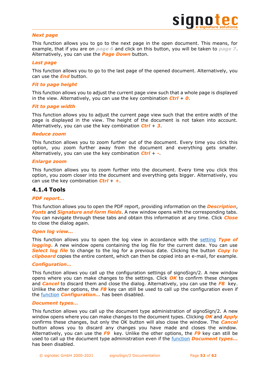### *Next page*

This function allows you to go to the next page in the open document. This means, for example, that if you are on *page 6* and click on this button, you will be taken to *page 7*. Alternatively, you can use the *Page Down* button.

### *Last page*

This function allows you to go to the last page of the opened document. Alternatively, you can use the *End* button.

### *Fit to page height*

This function allows you to adjust the current page view such that a whole page is displayed in the view. Alternatively, you can use the key combination *Ctrl* + *0*.

### *Fit to page width*

This function allows you to adjust the current page view such that the entire width of the page is displayed in the view. The height of the document is not taken into account. Alternatively, you can use the key combination *Ctrl* + *3*.

### *Reduce zoom*

This function allows you to zoom further out of the document. Every time you click this option, you zoom further away from the document and everything gets smaller. Alternatively, you can use the key combination *Ctrl* + *-*.

### *Enlarge zoom*

This function allows you to zoom further into the document. Every time you click this option, you zoom closer into the document and everything gets bigger. Alternatively, you can use the key combination *Ctrl* + *+*.

### <span id="page-51-0"></span>**4.1.4 Tools**

### *PDF report...*

This function allows you to open the PDF report, providing information on the *Description*, *Fonts* and *Signature and form fields*. A new window opens with the corresponding tabs. You can navigate through these tabs and obtain this information at any time. Click *Close* to close the dialog again.

### *Open log view...*

This function allows you to open the log view in accordance with the [setting](#page-6-4) *Type of*  **logging**. A new window opens containing the log file for the current date. You can use *Select log file* to change to the log for a previous date. Clicking the button *Copy to clipboard* copies the entire content, which can then be copied into an e-mail, for example.

### *Configuration…*

This function allows you call up the configuration settings of signoSign/2. A new window opens where you can make changes to the settings. Click *OK* to confirm these changes and *Cancel* to discard them and close the dialog. Alternatively, you can use the *F8* key. Unlike the other options, the *F8* key can still be used to call up the configuration even if the [function](#page-21-6) *Configuration…* has been disabled.

### *Document types…*

This function allows you call up the document type administration of signoSign/2. A new window opens where you can make changes to the document types. Clicking *OK* and *Apply* confirms these changes, but only the OK button will also close the window. The *Cancel* button allows you to discard any changes you have made and closes the window. Alternatively, you can use the *F9* key. Unlike the other options, the *F9* key can still be used to call up the document type administration even if the [function](#page-21-6) *Document types...* has been disabled.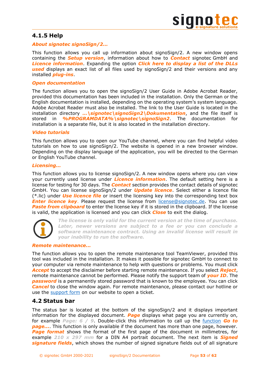# <span id="page-52-0"></span>**4.1.5 Help**

### *About signotec signoSign/2...*

This function allows you call up information about signoSign/2. A new window opens containing the *Setup version*, information about how to *Contact* signotec GmbH and *Licence information*. Expanding the option *Click here to display a list of the DLLs used* displays an exact list of all files used by signoSign/2 and their versions and any installed *plug-ins*.

### *Open documentation*

The function allows you to open the signoSign/2 User Guide in Adobe Acrobat Reader, provided this documentation has been included in the installation. Only the German or the English documentation is installed, depending on the operating system's system language. Adobe Acrobat Reader must also be installed. The link to the User Guide is located in the installation directory *…\signotec\signoSign2\Dokumentation*, and the file itself is stored in *%PROGRAMDATA%\signotec\signoSign2*. The documentation for installation is a separate file, but it is also located in the installation directory.

### *Video tutorials*

This function allows you to open our YouTube channel, where you can find helpful video tutorials on how to use signoSign/2. The website is opened in a new browser window. Depending on the display language of the application, you will be directed to the German or English YouTube channel.

### *Licensing...*

This function allows you to license signoSign/2. A new window opens where you can view your currently used license under *Licence information*. The default setting here is a license for testing for 30 days. The *Contact* section provides the contact details of signotec GmbH. You can license signoSign/2 under *Update licence*. Select either a licence file (\*.lic) under *Use licence file* or insert the licensing key into the corresponding text box *Enter licence key.* Please request the license from [license@signotec.de.](mailto:license@signotec.de) You can use **Paste from clipboard** to enter the license key if it is stored in the clipboard. If the license is valid, the application is licensed and you can click *Close* to exit the dialog.



*The license is only valid for the current version at the time of purchase. Later, newer versions are subject to a fee or you can conclude a software maintenance contract. Using an invalid license will result in your inability to run the software.*

### *Remote maintenance...*

The function allows you to open the remote maintenance tool TeamViewer, provided this tool was included in the installation. It makes it possible for signotec GmbH to connect to your computer via remote maintenance to help with questions or problems. You must click *Accept* to accept the disclaimer before starting remote maintenance. If you select *Reject*, remote maintenance cannot be performed. Please notify the support team of *your ID*. The *password* is a permanently stored password that is known to the employee. You can click *Cancel* to close the window again. For remote maintenance, please contact our hotline or use the [support form](https://en.signotec.com/supportform) on our website to open a ticket.

### <span id="page-52-1"></span>**4.2 Status bar**

The status bar is located at the bottom of the signoSign/2 and it displays important information for the displayed document. *Page* displays what page you are currently on, for example *Page: 6 / 9*. Double-click this information to call up the [function](#page-50-1) *Go to page...*. This function is only available if the document has more than one page, however. *Page format* shows the format of the first page of the document in millimetres, for example *210 x 297 mm* for a DIN A4 portrait document. The next item is *Signed signature fields*, which shows the number of signed signature fields out of all signature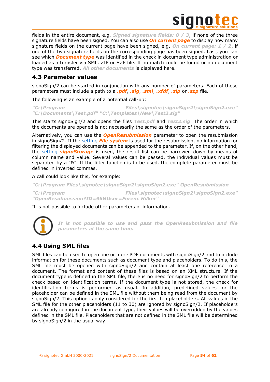

fields in the entire document, e.g. *Signed signature fields: 0 / 3*, if none of the three signature fields have been signed. You can also use *On current page* to display how many signature fields on the current page have been signed, e.g. *On current page: 1 / 2*, if one of the two signature fields on the corresponding page has been signed. Last, you can see which *Document type* was identified in the check in document type administration or loaded as a transfer via SML, ZIP or SZP file. If no match could be found or no document type was transferred, *All other documents* is displayed here.

# <span id="page-53-0"></span>**4.3 Parameter values**

signoSign/2 can be started in conjunction with any number of parameters. Each of these parameters must include a path to a *.pdf*, *.sig*, *.sml*, *.xfdf*, *.zip* or *.szp* file.

The following is an example of a potential call-up:

*"C:\Program Files\signotec\signoSign2\signoSign2.exe" "C:\Documents\Test.pdf" "C:\Templates\New\Test2.sig"*

This starts signoSign/2 and opens the files *Test.pdf* and *Test2.sig*. The order in which the documents are opened is not necessarily the same as the order of the parameters.

Alternatively, you can use the *OpenResubmission* parameter to open the resubmission in signoSign/2. If the [setting](#page-21-1) *File system* is used for the resubmission, no information for filtering the displayed documents can be appended to the parameter. If, on the other hand, the [setting](#page-21-1) *signoStorage* is used, the result list can be narrowed down by means of column name and value. Several values can be passed, the individual values must be separated by a "&". If the filter function is to be used, the complete parameter must be defined in inverted commas.

A call could look like this, for example:

*"C:\Program Files\signotec\signoSign2\signoSign2.exe" OpenResubmission "C:\Program Files\signotec\signoSign2\signoSign2.exe" "OpenResubmission?ID=96&User=Ferenc Hilker"*

It is not possible to include other parameters of information.



*It is not possible to use and pass the OpenResubmission and file parameters at the same time.*

# <span id="page-53-1"></span>**4.4 Using SML files**

SML files can be used to open one or more PDF documents with signoSign/2 and to include information for these documents such as document type and placeholders. To do this, the SML file must be opened with signoSign/2 and contain at least one reference to a document. The format and content of these files is based on an XML structure. If the document type is defined in the SML file, there is no need for signoSign/2 to perform the check based on identification terms. If the document type is not stored, the check for identification terms is performed as usual. In addition, predefined values for the placeholder can be defined in the SML file without them being read from the document by signoSign/2. This option is only considered for the first ten placeholders. All values in the SML file for the other placeholders (11 to 30) are ignored by signoSign/2. If placeholders are already configured in the document type, their values will be overridden by the values defined in the SML file. Placeholders that are not defined in the SML file will be determined by signoSign/2 in the usual way.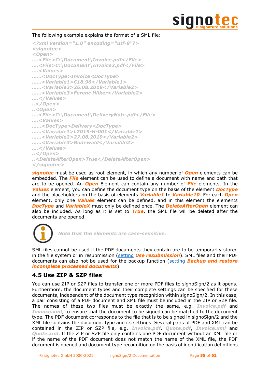

### The following example explains the format of a SML file:

```
<?xml version="1.0" encoding="utf-8"?>
<signotec>
<Open>
….<File>C:\Document\Invoice.pdf</File>
….<File>C:\Document\Invoice2.pdf</File>
….<Values>
……<DocType>Invoice<DocType>
……<Variable1>€18.96</Variable1>
……<Variable2>26.08.2019</Variable2>
……<Variable3>Ferenc Hilker</Variable2>
….</Values>
..</Open>
..<Open>
….<File>C:\Document\DeliveryNote.pdf</File>
….<Values>
……<DocType>Delivery<DocType>
……<Variable1>L2019-H-001</Variable1>
……<Variable2>27.08.2019</Variable2>
……<Variable3>Rodewald</Variable2>
….</Values>
..</Open>
..<DeleteAfterOpen>True</DeleteAfterOpen>
</signotec>
```
*signotec* must be used as root element, in which any number of *Open* elements can be embedded. The *File* element can be used to define a document with name and path that are to be opened. An *Open* Element can contain any number of *File* elements. In the *Values* element, you can define the document type on the basis of the element *DocType* and the placeholders on the basis of elements *Variable1* to *Variable10*. For each *Open* element, only one *Values* element can be defined, and in this element the elements *DocType* and *VariableX* must only be defined once. The *DeleteAfterOpen* element can also be included. As long as it is set to *True*, the SML file will be deleted after the documents are opened.



*Note that the elements are case-sensitive.*

SML files cannot be used if the PDF documents they contain are to be temporarily stored in the file system or in resubmission [\(setting](#page-46-1) *Use resubmission*). SML files and their PDF documents can also not be used for the backup function [\(setting](#page-25-1) *Backup and restore incomplete processed documents*).

# <span id="page-54-0"></span>**4.5 Use ZIP & SZP files**

You can use ZIP or SZP files to transfer one or more PDF files to signoSign/2 as it opens. Furthermore, the document types and their complete settings can be specified for these documents, independent of the document type recognition within signoSign/2. In this case, a pair consisting of a PDF document and XML file must be included in the ZIP or SZP file. The names of these two files must be exactly the same, e.g. *Invoice.pdf* and *Invoice.xml*, to ensure that the document to be signed can be matched to the document type. The PDF document corresponds to the file that is to be signed in signoSign/2 and the XML file contains the document type and its settings. Several pairs of PDF and XML can be contained in the ZIP or SZP file, e.g. *Invoice.pdf*, *Quote.pdf*, *Invoice.xml* and *Quote.xml*. If the ZIP or SZP file only contains one PDF document without an XML file or if the name of the PDF document does not match the name of the XML file, the PDF document is opened and document type recognition on the basis of identification definitions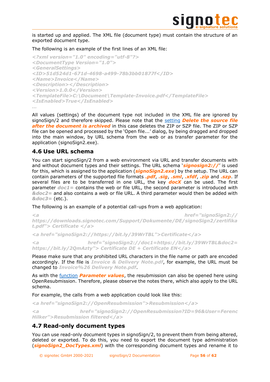

is started up and applied. The XML file (document type) must contain the structure of an exported document type.

The following is an example of the first lines of an XML file:

```
<?xml version="1.0" encoding="utf-8"?>
<DocumentType Version="1.0">
<GeneralSettings>
<ID>51d524d1-671d-4698-a499-78b3bb01877f</ID>
<Name>Invoice</Name>
<Description></Description>
<Version>1.0.0</Version>
<TemplateFile>C:\Document\Template-Invoice.pdf</TemplateFile>
<IsEnabled>True</IsEnabled>
…
```
All values (settings) of the document type not included in the XML file are ignored by signoSign/2 and therefore skipped. Please note that the [setting](#page-45-0) *Delete the source file after the document is archived* in this case deletes the ZIP or SZP file. The ZIP or SZP file can be opened and processed by the 'Open file...' dialog, by being dragged and dropped into the main window, by URL schema from the web or as transfer parameter for the application (signoSign2.exe).

# <span id="page-55-0"></span>**4.6 Use URL schema**

You can start signoSign/2 from a web environment via URL and transfer documents with and without document types and their settings. The URL schema '*signosign2://*' is used for this, which is assigned to the application (*signoSign2.exe*) by the setup. The URL can contain parameters of the supported file formats *.pdf*, *.sig*, *.sml*, *.xfdf*, *.zip* and *.szp*. If several files are to be transferred in one URL, the key *docX* can be used. The first parameter *doc1=* contains the web or file URL, the second parameter is introduced with *&doc2=* and also contains a web or file URL. A third parameter would then be added with *&doc3=* (etc.).

The following is an example of a potential call-ups from a web application:

```
<a href="signoSign2:// 
https://downloads.signotec.com/Support/Dokumente/DE/signoSign2/zertifika
t.pdf"> Certificate </a>
```
*<a href="signoSign2://https://bit.ly/39WrTBL">Certificate</a>*

*<a href="signoSign2://doc1=https://bit.ly/39WrTBL&doc2= https://bit.ly/2QmAzty"> Certificate DE + Certificate EN</a>*

Please make sure that any prohibited URL characters in the file name or path are encoded accordingly. If the file is *Invoice & Delivery Note.pdf*, for example, the URL must be changed to *Invoice%26 Delivery Note.pdf*.

As with the [function](#page-53-0) *Parameter values*, the resubmission can also be opened here using OpenResubmission. Therefore, please observe the notes there, which also apply to the URL schema.

For example, the calls from a web application could look like this:

*<a href="signoSign2://OpenResubmission">Resubmission</a>*

*<a href="signoSign2://OpenResubmission?ID=96&User=Ferenc Hilker">Resubmission filtered</a>*

# <span id="page-55-1"></span>**4.7 Read-only document types**

You can use read-only document types in signoSign/2, to prevent them from being altered, deleted or exported. To do this, you need to export the document type administration (*signoSign2\_DocTypes.xml*) with the corresponding document types and rename it to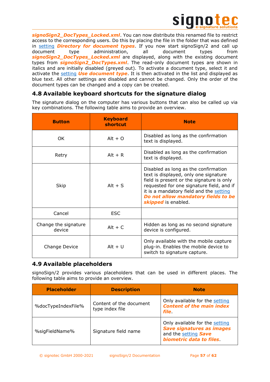

*signoSign2\_DocTypes\_Locked.xml*. You can now distribute this renamed file to restrict access to the corresponding users. Do this by placing the file in the folder that was defined in [setting](#page-7-0) *Directory for document types*. If you now start signoSign/2 and call up document type administration, all document types from **signoSign2\_DocTypes\_Locked.xml** are displayed, along with the existing document types from *signoSign2\_DocTypes.xml*. The read-only document types are shown in italics and are initially disabled (greyed out). To activate a document type, select it and activate the [setting](#page-24-0) *Use document type*. It is then activated in the list and displayed as blue text. All other settings are disabled and cannot be changed. Only the order of the document types can be changed and a copy can be created.

# <span id="page-56-0"></span>**4.8 Available keyboard shortcuts for the signature dialog**

The signature dialog on the computer has various buttons that can also be called up via key combinations. The following table aims to provide an overview.

| <b>Button</b>                  | <b>Keyboard</b><br>shortcut | <b>Note</b>                                                                                                                                                                                                                                                                      |
|--------------------------------|-----------------------------|----------------------------------------------------------------------------------------------------------------------------------------------------------------------------------------------------------------------------------------------------------------------------------|
| OK.                            | $Alt + O$                   | Disabled as long as the confirmation<br>text is displayed.                                                                                                                                                                                                                       |
| Retry                          | $Alt + R$                   | Disabled as long as the confirmation<br>text is displayed.                                                                                                                                                                                                                       |
| Skip                           | Alt $+ S$                   | Disabled as long as the confirmation<br>text is displayed, only one signature<br>field is present or the signature is only<br>requested for one signature field, and if<br>it is a mandatory field and the setting<br>Do not allow mandatory fields to be<br>skipped is enabled. |
| Cancel                         | <b>ESC</b>                  |                                                                                                                                                                                                                                                                                  |
| Change the signature<br>device | $Alt + C$                   | Hidden as long as no second signature<br>device is configured.                                                                                                                                                                                                                   |
| Change Device                  | $Alt + U$                   | Only available with the mobile capture<br>plug-in. Enables the mobile device to<br>switch to signature capture.                                                                                                                                                                  |

# <span id="page-56-1"></span>**4.9 Available placeholders**

signoSign/2 provides various placeholders that can be used in different places. The following table aims to provide an overview.

| <b>Placeholder</b> | <b>Description</b>                         | <b>Note</b>                                                                                                           |
|--------------------|--------------------------------------------|-----------------------------------------------------------------------------------------------------------------------|
| %docTypeIndexFile% | Content of the document<br>type index file | Only available for the setting<br><b>Content of the main index</b><br><i>file</i> .                                   |
| %sigFieldName%     | Signature field name                       | Only available for the setting<br><b>Save signatures as images</b><br>and the setting Save<br>biometric data to files |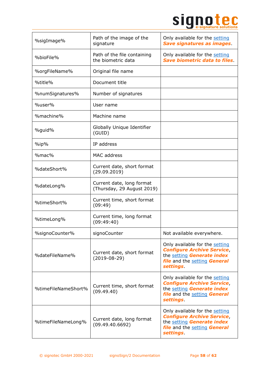# Signote C

| %sigImage%          | Path of the image of the<br>signature                   | Only available for the setting<br><b>Save signatures as images.</b>                                                                                  |
|---------------------|---------------------------------------------------------|------------------------------------------------------------------------------------------------------------------------------------------------------|
| %bioFile%           | Path of the file containing<br>the biometric data       | Only available for the setting<br><b>Save biometric data to files</b>                                                                                |
| %orgFileName%       | Original file name                                      |                                                                                                                                                      |
| %title%             | Document title                                          |                                                                                                                                                      |
| %numSignatures%     | Number of signatures                                    |                                                                                                                                                      |
| %user%              | User name                                               |                                                                                                                                                      |
| %machine%           | Machine name                                            |                                                                                                                                                      |
| %guid%              | Globally Unique Identifier<br>(GUID)                    |                                                                                                                                                      |
| $\%$ ip $\%$        | IP address                                              |                                                                                                                                                      |
| %mac%               | MAC address                                             |                                                                                                                                                      |
| %dateShort%         | Current date, short format<br>(29.09.2019)              |                                                                                                                                                      |
| %dateLong%          | Current date, long format<br>(Thursday, 29 August 2019) |                                                                                                                                                      |
| %timeShort%         | Current time, short format<br>(09:49)                   |                                                                                                                                                      |
| %timeLong%          | Current time, long format<br>(09:49:40)                 |                                                                                                                                                      |
| %signoCounter%      | signoCounter                                            | Not available everywhere.                                                                                                                            |
| %dateFileName%      | Current date, short format<br>$(2019-08-29)$            | Only available for the setting<br><b>Configure Archive Service,</b><br>the setting Generate index<br>file and the setting General<br><i>settings</i> |
| %timeFileNameShort% | Current time, short format<br>(09.49.40)                | Only available for the setting<br><b>Configure Archive Service,</b><br>the setting Generate index<br>file and the setting General<br><b>settings</b> |
| %timeFileNameLong%  | Current date, long format<br>(09.49.40.6692)            | Only available for the setting<br><b>Configure Archive Service,</b><br>the setting Generate index<br>file and the setting General<br>settings        |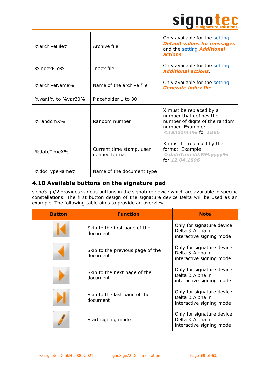

| %archiveFile%     | Archive file                               | Only available for the setting<br><b>Default values for messages</b><br>and the setting <b>Additional</b><br>actions.          |
|-------------------|--------------------------------------------|--------------------------------------------------------------------------------------------------------------------------------|
| %indexFile%       | Index file                                 | Only available for the setting<br><b>Additional actions</b>                                                                    |
| %archiveName%     | Name of the archive file                   | Only available for the setting<br><b>Generate index file.</b>                                                                  |
| %var1% to %var30% | Placeholder 1 to 30                        |                                                                                                                                |
| %randomX%         | Random number                              | X must be replaced by a<br>number that defines the<br>number of digits of the random<br>number. Example:<br>%random4% for 1896 |
| %dateTimeX%       | Current time stamp, user<br>defined format | X must be replaced by the<br>format. Example:<br>%dateTimedd.MM.yyyy%<br>for 12.04.1896                                        |
| %docTypeName%     | Name of the document type                  |                                                                                                                                |

# <span id="page-58-0"></span>**4.10 Available buttons on the signature pad**

signoSign/2 provides various buttons in the signature device which are available in specific constellations. The first button design of the signature device Delta will be used as an example. The following table aims to provide an overview.

| <b>Button</b> | <b>Function</b>                              | <b>Note</b>                                                               |
|---------------|----------------------------------------------|---------------------------------------------------------------------------|
|               | Skip to the first page of the<br>document    | Only for signature device<br>Delta & Alpha in<br>interactive signing mode |
|               | Skip to the previous page of the<br>document | Only for signature device<br>Delta & Alpha in<br>interactive signing mode |
|               | Skip to the next page of the<br>document     | Only for signature device<br>Delta & Alpha in<br>interactive signing mode |
|               | Skip to the last page of the<br>document     | Only for signature device<br>Delta & Alpha in<br>interactive signing mode |
|               | Start signing mode                           | Only for signature device<br>Delta & Alpha in<br>interactive signing mode |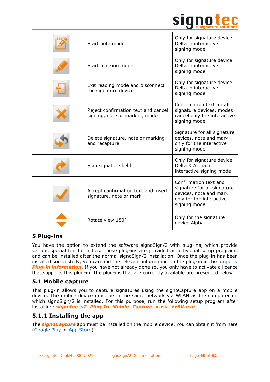

| Start note mode                                                      | Only for signature device<br>Delta in interactive<br>signing mode                                                          |
|----------------------------------------------------------------------|----------------------------------------------------------------------------------------------------------------------------|
| Start marking mode                                                   | Only for signature device<br>Delta in interactive<br>signing mode                                                          |
| Exit reading mode and disconnect<br>the signature device             | Only for signature device<br>Delta in interactive<br>signing mode                                                          |
| Reject confirmation text and cancel<br>signing, note or marking mode | Confirmation text for all<br>signature devices, modes<br>cancel only the interactive<br>signing mode                       |
| Delete signature, note or marking<br>and recapture                   | Signature for all signature<br>devices, note and mark<br>only for the interactive<br>signing mode                          |
| Skip signature field                                                 | Only for signature device<br>Delta & Alpha in<br>interactive signing mode                                                  |
| Accept confirmation text and insert<br>signature, note or mark       | Confirmation text and<br>signature for all signature<br>devices, note and mark<br>only for the interactive<br>signing mode |
| Rotate view 180°                                                     | Only for the signature<br>device Alpha                                                                                     |

# <span id="page-59-0"></span>**5 Plug-ins**

You have the option to extend the software signoSign/2 with plug-ins, which provide various special functionalities. These plug-ins are provided as individual setup programs and can be installed after the normal signoSign/2 installation. Once the plug-in has been installed successfully, you can find the relevant information on the plug-in in the [property](#page-22-3) *Plug-in information*. If you have not already done so, you only have to activate a licence that supports this plug-in. The plug-ins that are currently available are presented below:

# <span id="page-59-1"></span>**5.1 Mobile capture**

This plug-in allows you to capture signatures using the signoCapture app on a mobile device. The mobile device must be in the same network via WLAN as the computer on which signoSign/2 is installed. For this purpose, run the following setup program after installing: *signotec\_s2\_Plug-In\_Mobile\_Capture\_x.x.x\_xxBit.exe*

# <span id="page-59-2"></span>**5.1.1 Installing the app**

The *signoCapture* app must be installed on the mobile device. You can obtain it from here [\(Google Play](https://play.google.com/store/apps/details?id=de.signotec.signoCapture&hl=en) or [App Store\)](https://apps.apple.com/us/app/signocapture/id1135853001).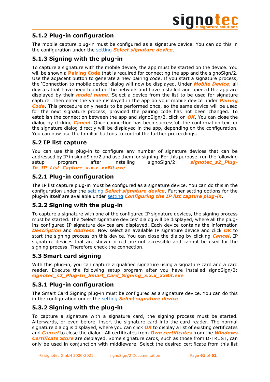

# <span id="page-60-0"></span>**5.1.2 Plug-in configuration**

The mobile capture plug-in must be configured as a signature device. You can do this in the configuration under the [setting](#page-14-0) *Select signature device*.

# <span id="page-60-1"></span>**5.1.3 Signing with the plug-in**

To capture a signature with the mobile device, the app must be started on the device. You will be shown a **Pairing Code** that is required for connecting the app and the signoSign/2. Use the adjacent button to generate a new pairing code. If you start a signature process, the 'Connection to mobile device' dialog will now be displayed. Under *Mobile Device*, all devices that have been found on the network and have installed and opened the app are displayed by their *model name*. Select a device from the list to be used for signature capture. Then enter the value displayed in the app on your mobile device under *Pairing Code*. This procedure only needs to be performed once, so the same device will be used for the next signature process, provided the pairing code has not been changed. To establish the connection between the app and signoSign/2, click on *OK*. You can close the dialog by clicking *Cancel*. Once connection has been successful, the confirmation text or the signature dialog directly will be displayed in the app, depending on the configuration. You can now use the familiar buttons to control the further proceedings.

# <span id="page-60-2"></span>**5.2 IP list capture**

You can use this plug-in to configure any number of signature devices that can be addressed by IP in signoSign/2 and use them for signing. For this purpose, run the following setup program after installing signoSign/2: *signotec\_s2\_Plug-In\_IP\_List\_Capture\_x.x.x\_xxBit.exe*

# <span id="page-60-3"></span>**5.2.1 Plug-in configuration**

The IP list capture plug-in must be configured as a signature device. You can do this in the configuration under the [setting](#page-14-0) *Select signature device*. Further setting options for the plug-in itself are available under [setting](#page-17-0) *Configuring the IP list capture plug-in*.

# <span id="page-60-4"></span>**5.2.2 Signing with the plug-in**

To capture a signature with one of the configured IP signature devices, the signing process must be started. The 'Select signature devices' dialog will be displayed, where all the plugins configured IP signature devices are displayed. Each device contains the information *Description* and *Address*. Now select an available IP signature device and click *OK* to start the signing process on this device. You can close the dialog by clicking *Cancel*. IP signature devices that are shown in red are not accessible and cannot be used for the signing process. Therefore check the connection.

# <span id="page-60-5"></span>**5.3 Smart card signing**

With this plug-in, you can capture a qualified signature using a signature card and a card reader. Execute the following setup program after you have installed signoSign/2: *signotec\_s2\_Plug-In\_Smart\_Card\_Signing\_x.x.x\_xxBit.exe*

# <span id="page-60-6"></span>**5.3.1 Plug-in configuration**

The Smart Card Signing plug-in must be configured as a signature device. You can do this in the configuration under the [setting](#page-14-0) *Select signature device*.

# <span id="page-60-7"></span>**5.3.2 Signing with the plug-in**

To capture a signature with a signature card, the signing process must be started. Afterwards, or even before, insert the signature card into the card reader. The normal signature dialog is displayed, where you can click *OK* to display a list of existing certificates and *Cancel* to close the dialog. All certificates from *Own certificates* from the *Windows Certificate Store* are displayed. Some signature cards, such as those from D-TRUST, can only be used in conjunction with middleware. Select the desired certificate from this list